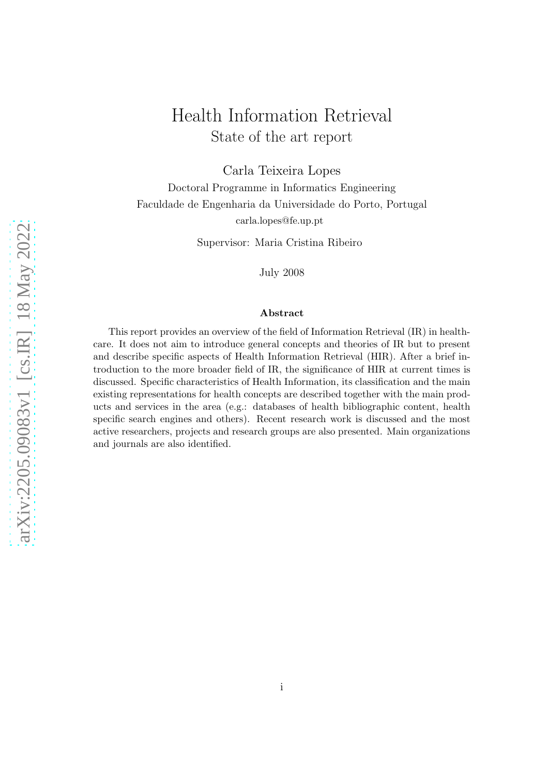# Health Information Retrieval State of the art report

Carla Teixeira Lopes

Doctoral Programme in Informatics Engineering Faculdade de Engenharia da Universidade do Porto, Portugal carla.lopes@fe.up.pt

Supervisor: Maria Cristina Ribeiro

July 2008

#### Abstract

This report provides an overview of the field of Information Retrieval (IR) in healthcare. It does not aim to introduce general concepts and theories of IR but to present and describe specific aspects of Health Information Retrieval (HIR). After a brief introduction to the more broader field of IR, the significance of HIR at current times is discussed. Specific characteristics of Health Information, its classification and the main existing representations for health concepts are described together with the main products and services in the area (e.g.: databases of health bibliographic content, health specific search engines and others). Recent research work is discussed and the most active researchers, projects and research groups are also presented. Main organizations and journals are also identified.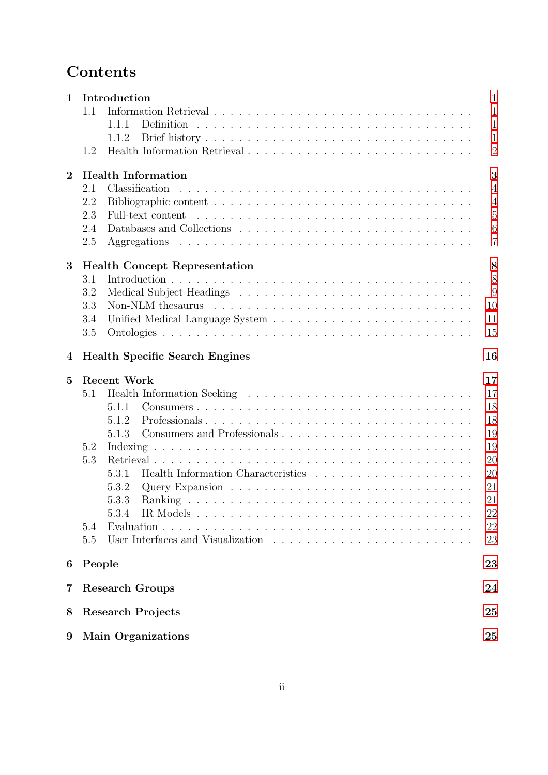# Contents

| $\mathbf{1}$   |        | Introduction                          | $\mathbf{1}$   |
|----------------|--------|---------------------------------------|----------------|
|                | 1.1    |                                       | $\mathbf{1}$   |
|                |        | 1.1.1                                 | $\mathbf{1}$   |
|                |        | 1.1.2                                 | $\mathbf{1}$   |
|                | 1.2    |                                       | $\overline{2}$ |
| $\overline{2}$ |        | <b>Health Information</b>             | 3              |
|                | 2.1    | Classification                        | $\overline{4}$ |
|                | 2.2    |                                       | $\overline{4}$ |
|                | 2.3    |                                       | $\overline{5}$ |
|                | 2.4    |                                       | 6              |
|                | 2.5    |                                       | $\overline{7}$ |
| 3              |        | <b>Health Concept Representation</b>  | 8              |
|                | 3.1    |                                       | 8              |
|                | 3.2    |                                       | 9              |
|                | 3.3    |                                       | 10             |
|                | 3.4    |                                       | 11             |
|                | 3.5    |                                       | 15             |
| 4              |        | <b>Health Specific Search Engines</b> | 16             |
|                |        |                                       |                |
| $\overline{5}$ |        | <b>Recent Work</b>                    | 17             |
|                | 5.1    |                                       | 17             |
|                |        | 5.1.1                                 | 18             |
|                |        | Professionals<br>5.1.2                | 18             |
|                |        | 5.1.3                                 | 19             |
|                | 5.2    |                                       | 19             |
|                | 5.3    |                                       | 20             |
|                |        | 5.3.1                                 | 20             |
|                |        | 5.3.2                                 | 21             |
|                |        |                                       | 21             |
|                |        | IR Models<br>5.3.4                    | 22             |
|                | 5.4    |                                       | 22             |
|                | 5.5    |                                       | 23             |
| 6              | People |                                       | 23             |
| 7              |        | <b>Research Groups</b>                | 24             |
| 8              |        | <b>Research Projects</b>              | 25             |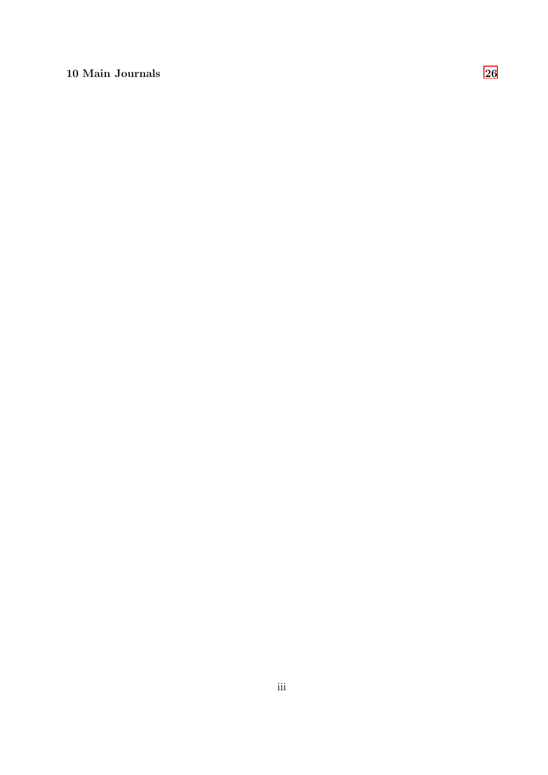# 10 Main Journals [26](#page-28-0)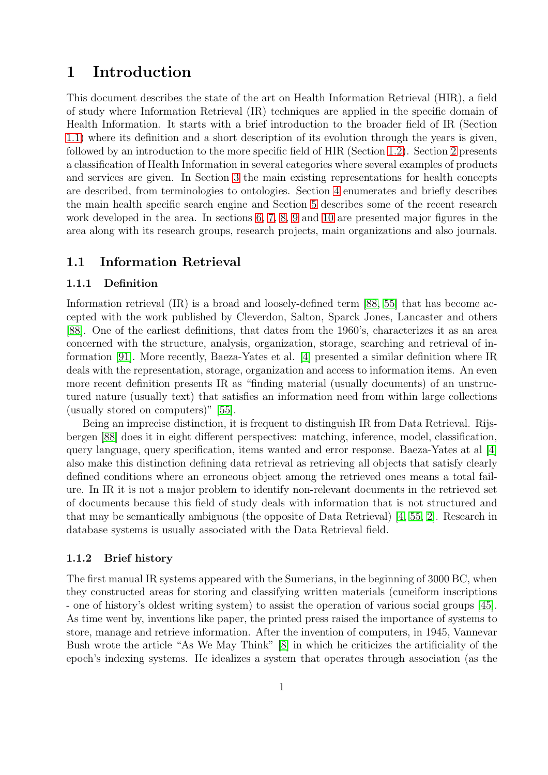# <span id="page-3-0"></span>1 Introduction

This document describes the state of the art on Health Information Retrieval (HIR), a field of study where Information Retrieval (IR) techniques are applied in the specific domain of Health Information. It starts with a brief introduction to the broader field of IR (Section [1.1\)](#page-3-1) where its definition and a short description of its evolution through the years is given, followed by an introduction to the more specific field of HIR (Section [1.2\)](#page-4-0). Section [2](#page-5-0) presents a classification of Health Information in several categories where several examples of products and services are given. In Section [3](#page-10-0) the main existing representations for health concepts are described, from terminologies to ontologies. Section [4](#page-18-0) enumerates and briefly describes the main health specific search engine and Section [5](#page-19-0) describes some of the recent research work developed in the area. In sections [6,](#page-25-1) [7,](#page-26-0) [8,](#page-27-0) [9](#page-27-1) and [10](#page-28-0) are presented major figures in the area along with its research groups, research projects, main organizations and also journals.

### <span id="page-3-2"></span><span id="page-3-1"></span>1.1 Information Retrieval

#### 1.1.1 Definition

Information retrieval (IR) is a broad and loosely-defined term [\[88,](#page-35-0) [55\]](#page-33-0) that has become accepted with the work published by Cleverdon, Salton, Sparck Jones, Lancaster and others [\[88\]](#page-35-0). One of the earliest definitions, that dates from the 1960's, characterizes it as an area concerned with the structure, analysis, organization, storage, searching and retrieval of information [\[91\]](#page-35-1). More recently, Baeza-Yates et al. [\[4\]](#page-29-0) presented a similar definition where IR deals with the representation, storage, organization and access to information items. An even more recent definition presents IR as "finding material (usually documents) of an unstructured nature (usually text) that satisfies an information need from within large collections (usually stored on computers)" [\[55\]](#page-33-0).

Being an imprecise distinction, it is frequent to distinguish IR from Data Retrieval. Rijsbergen [\[88\]](#page-35-0) does it in eight different perspectives: matching, inference, model, classification, query language, query specification, items wanted and error response. Baeza-Yates at al [\[4\]](#page-29-0) also make this distinction defining data retrieval as retrieving all objects that satisfy clearly defined conditions where an erroneous object among the retrieved ones means a total failure. In IR it is not a major problem to identify non-relevant documents in the retrieved set of documents because this field of study deals with information that is not structured and that may be semantically ambiguous (the opposite of Data Retrieval) [\[4,](#page-29-0) [55,](#page-33-0) [2\]](#page-29-1). Research in database systems is usually associated with the Data Retrieval field.

### <span id="page-3-3"></span>1.1.2 Brief history

The first manual IR systems appeared with the Sumerians, in the beginning of 3000 BC, when they constructed areas for storing and classifying written materials (cuneiform inscriptions - one of history's oldest writing system) to assist the operation of various social groups [\[45\]](#page-32-0). As time went by, inventions like paper, the printed press raised the importance of systems to store, manage and retrieve information. After the invention of computers, in 1945, Vannevar Bush wrote the article "As We May Think" [\[8\]](#page-29-2) in which he criticizes the artificiality of the epoch's indexing systems. He idealizes a system that operates through association (as the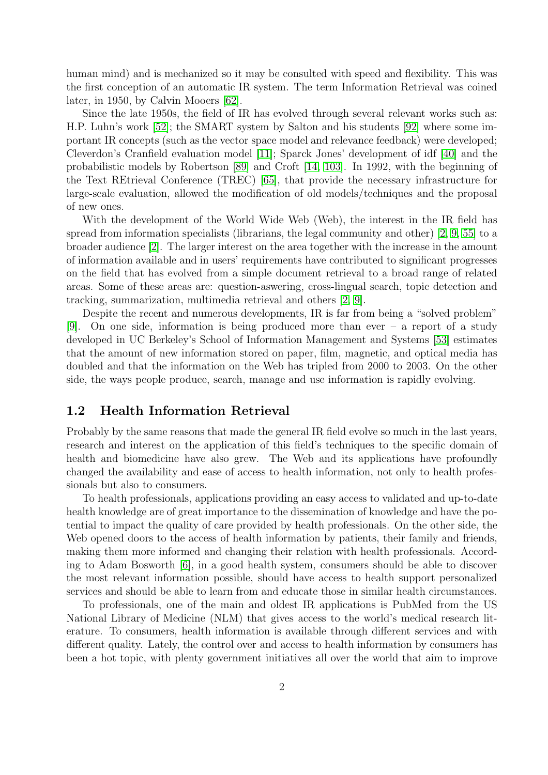human mind) and is mechanized so it may be consulted with speed and flexibility. This was the first conception of an automatic IR system. The term Information Retrieval was coined later, in 1950, by Calvin Mooers [\[62\]](#page-33-1).

Since the late 1950s, the field of IR has evolved through several relevant works such as: H.P. Luhn's work [\[52\]](#page-33-2); the SMART system by Salton and his students [\[92\]](#page-35-2) where some important IR concepts (such as the vector space model and relevance feedback) were developed; Cleverdon's Cranfield evaluation model [\[11\]](#page-29-3); Sparck Jones' development of idf [\[40\]](#page-32-1) and the probabilistic models by Robertson [\[89\]](#page-35-3) and Croft [\[14,](#page-30-0) [103\]](#page-36-0). In 1992, with the beginning of the Text REtrieval Conference (TREC) [\[65\]](#page-34-0), that provide the necessary infrastructure for large-scale evaluation, allowed the modification of old models/techniques and the proposal of new ones.

With the development of the World Wide Web (Web), the interest in the IR field has spread from information specialists (librarians, the legal community and other) [\[2,](#page-29-1) [9,](#page-29-4) [55\]](#page-33-0) to a broader audience [\[2\]](#page-29-1). The larger interest on the area together with the increase in the amount of information available and in users' requirements have contributed to significant progresses on the field that has evolved from a simple document retrieval to a broad range of related areas. Some of these areas are: question-aswering, cross-lingual search, topic detection and tracking, summarization, multimedia retrieval and others [\[2,](#page-29-1) [9\]](#page-29-4).

Despite the recent and numerous developments, IR is far from being a "solved problem" [\[9\]](#page-29-4). On one side, information is being produced more than ever – a report of a study developed in UC Berkeley's School of Information Management and Systems [\[53\]](#page-33-3) estimates that the amount of new information stored on paper, film, magnetic, and optical media has doubled and that the information on the Web has tripled from 2000 to 2003. On the other side, the ways people produce, search, manage and use information is rapidly evolving.

### <span id="page-4-0"></span>1.2 Health Information Retrieval

Probably by the same reasons that made the general IR field evolve so much in the last years, research and interest on the application of this field's techniques to the specific domain of health and biomedicine have also grew. The Web and its applications have profoundly changed the availability and ease of access to health information, not only to health professionals but also to consumers.

To health professionals, applications providing an easy access to validated and up-to-date health knowledge are of great importance to the dissemination of knowledge and have the potential to impact the quality of care provided by health professionals. On the other side, the Web opened doors to the access of health information by patients, their family and friends, making them more informed and changing their relation with health professionals. According to Adam Bosworth [\[6\]](#page-29-5), in a good health system, consumers should be able to discover the most relevant information possible, should have access to health support personalized services and should be able to learn from and educate those in similar health circumstances.

To professionals, one of the main and oldest IR applications is PubMed from the US National Library of Medicine (NLM) that gives access to the world's medical research literature. To consumers, health information is available through different services and with different quality. Lately, the control over and access to health information by consumers has been a hot topic, with plenty government initiatives all over the world that aim to improve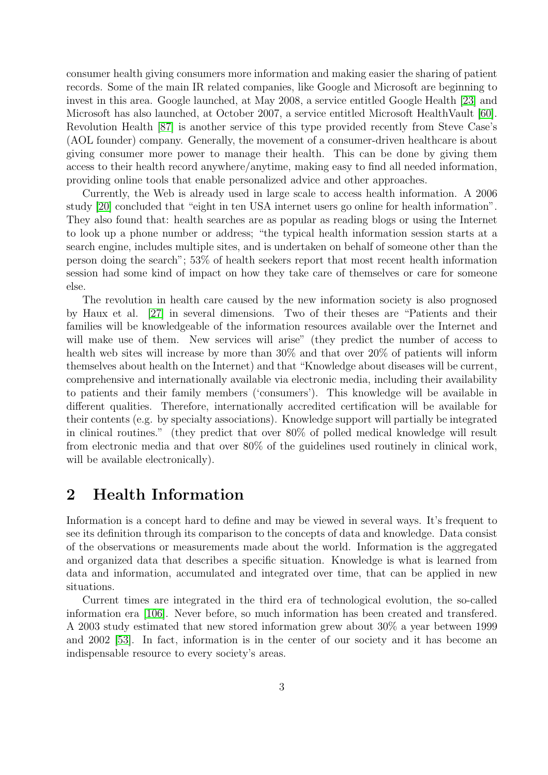consumer health giving consumers more information and making easier the sharing of patient records. Some of the main IR related companies, like Google and Microsoft are beginning to invest in this area. Google launched, at May 2008, a service entitled Google Health [\[23\]](#page-30-1) and Microsoft has also launched, at October 2007, a service entitled Microsoft HealthVault [\[60\]](#page-33-4). Revolution Health [\[87\]](#page-35-4) is another service of this type provided recently from Steve Case's (AOL founder) company. Generally, the movement of a consumer-driven healthcare is about giving consumer more power to manage their health. This can be done by giving them access to their health record anywhere/anytime, making easy to find all needed information, providing online tools that enable personalized advice and other approaches.

Currently, the Web is already used in large scale to access health information. A 2006 study [\[20\]](#page-30-2) concluded that "eight in ten USA internet users go online for health information". They also found that: health searches are as popular as reading blogs or using the Internet to look up a phone number or address; "the typical health information session starts at a search engine, includes multiple sites, and is undertaken on behalf of someone other than the person doing the search"; 53% of health seekers report that most recent health information session had some kind of impact on how they take care of themselves or care for someone else.

The revolution in health care caused by the new information society is also prognosed by Haux et al. [\[27\]](#page-31-0) in several dimensions. Two of their theses are "Patients and their families will be knowledgeable of the information resources available over the Internet and will make use of them. New services will arise" (they predict the number of access to health web sites will increase by more than  $30\%$  and that over  $20\%$  of patients will inform themselves about health on the Internet) and that "Knowledge about diseases will be current, comprehensive and internationally available via electronic media, including their availability to patients and their family members ('consumers'). This knowledge will be available in different qualities. Therefore, internationally accredited certification will be available for their contents (e.g. by specialty associations). Knowledge support will partially be integrated in clinical routines." (they predict that over 80% of polled medical knowledge will result from electronic media and that over 80% of the guidelines used routinely in clinical work, will be available electronically).

# <span id="page-5-0"></span>2 Health Information

Information is a concept hard to define and may be viewed in several ways. It's frequent to see its definition through its comparison to the concepts of data and knowledge. Data consist of the observations or measurements made about the world. Information is the aggregated and organized data that describes a specific situation. Knowledge is what is learned from data and information, accumulated and integrated over time, that can be applied in new situations.

Current times are integrated in the third era of technological evolution, the so-called information era [\[106\]](#page-37-0). Never before, so much information has been created and transfered. A 2003 study estimated that new stored information grew about 30% a year between 1999 and 2002 [\[53\]](#page-33-3). In fact, information is in the center of our society and it has become an indispensable resource to every society's areas.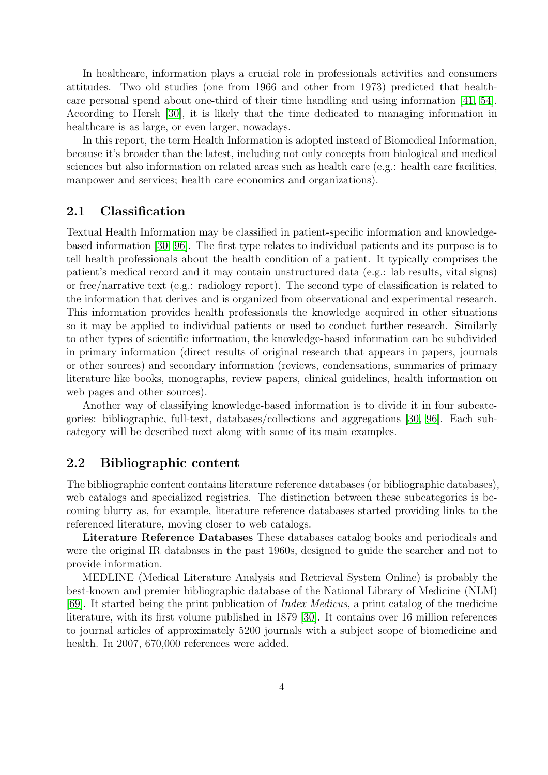In healthcare, information plays a crucial role in professionals activities and consumers attitudes. Two old studies (one from 1966 and other from 1973) predicted that healthcare personal spend about one-third of their time handling and using information [\[41,](#page-32-2) [54\]](#page-33-5). According to Hersh [\[30\]](#page-31-1), it is likely that the time dedicated to managing information in healthcare is as large, or even larger, nowadays.

In this report, the term Health Information is adopted instead of Biomedical Information, because it's broader than the latest, including not only concepts from biological and medical sciences but also information on related areas such as health care (e.g.: health care facilities, manpower and services; health care economics and organizations).

### <span id="page-6-0"></span>2.1 Classification

Textual Health Information may be classified in patient-specific information and knowledgebased information [\[30,](#page-31-1) [96\]](#page-36-1). The first type relates to individual patients and its purpose is to tell health professionals about the health condition of a patient. It typically comprises the patient's medical record and it may contain unstructured data (e.g.: lab results, vital signs) or free/narrative text (e.g.: radiology report). The second type of classification is related to the information that derives and is organized from observational and experimental research. This information provides health professionals the knowledge acquired in other situations so it may be applied to individual patients or used to conduct further research. Similarly to other types of scientific information, the knowledge-based information can be subdivided in primary information (direct results of original research that appears in papers, journals or other sources) and secondary information (reviews, condensations, summaries of primary literature like books, monographs, review papers, clinical guidelines, health information on web pages and other sources).

Another way of classifying knowledge-based information is to divide it in four subcategories: bibliographic, full-text, databases/collections and aggregations [\[30,](#page-31-1) [96\]](#page-36-1). Each subcategory will be described next along with some of its main examples.

### <span id="page-6-1"></span>2.2 Bibliographic content

The bibliographic content contains literature reference databases (or bibliographic databases), web catalogs and specialized registries. The distinction between these subcategories is becoming blurry as, for example, literature reference databases started providing links to the referenced literature, moving closer to web catalogs.

Literature Reference Databases These databases catalog books and periodicals and were the original IR databases in the past 1960s, designed to guide the searcher and not to provide information.

MEDLINE (Medical Literature Analysis and Retrieval System Online) is probably the best-known and premier bibliographic database of the National Library of Medicine (NLM) [\[69\]](#page-34-1). It started being the print publication of *Index Medicus*, a print catalog of the medicine literature, with its first volume published in 1879 [\[30\]](#page-31-1). It contains over 16 million references to journal articles of approximately 5200 journals with a subject scope of biomedicine and health. In 2007, 670,000 references were added.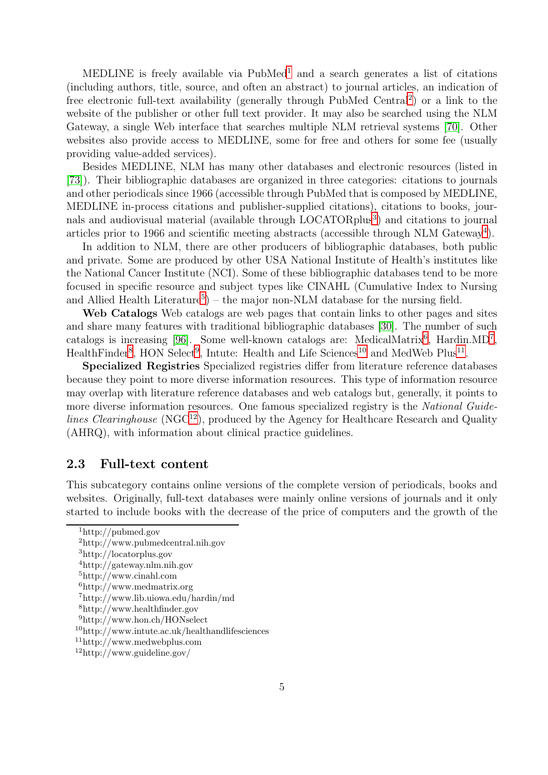MEDLINE is freely available via PubMed<sup>[1](#page-7-1)</sup> and a search generates a list of citations (including authors, title, source, and often an abstract) to journal articles, an indication of free electronic full-text availability (generally through PubMed Central<sup>[2](#page-7-2)</sup>) or a link to the website of the publisher or other full text provider. It may also be searched using the NLM Gateway, a single Web interface that searches multiple NLM retrieval systems [\[70\]](#page-34-2). Other websites also provide access to MEDLINE, some for free and others for some fee (usually providing value-added services).

Besides MEDLINE, NLM has many other databases and electronic resources (listed in [\[73\]](#page-34-3)). Their bibliographic databases are organized in three categories: citations to journals and other periodicals since 1966 (accessible through PubMed that is composed by MEDLINE, MEDLINE in-process citations and publisher-supplied citations), citations to books, jour-nals and audiovisual material (available through LOCATORplus<sup>[3](#page-7-3)</sup>) and citations to journal articles prior to 1966 and scientific meeting abstracts (accessible through NLM Gateway<sup>[4](#page-7-4)</sup>).

In addition to NLM, there are other producers of bibliographic databases, both public and private. Some are produced by other USA National Institute of Health's institutes like the National Cancer Institute (NCI). Some of these bibliographic databases tend to be more focused in specific resource and subject types like CINAHL (Cumulative Index to Nursing and Allied Health Literature<sup>[5](#page-7-5)</sup> $)$  – the major non-NLM database for the nursing field.

Web Catalogs Web catalogs are web pages that contain links to other pages and sites and share many features with traditional bibliographic databases [\[30\]](#page-31-1). The number of such catalogs is increasing [\[96\]](#page-36-1). Some well-known catalogs are: MedicalMatrix<sup>[6](#page-7-6)</sup>, Hardin.MD<sup>[7](#page-7-7)</sup>, HealthFinder<sup>[8](#page-7-8)</sup>, HON Select<sup>[9](#page-7-9)</sup>, Intute: Health and Life Sciences<sup>[10](#page-7-10)</sup> and MedWeb Plus<sup>[11](#page-7-11)</sup>.

Specialized Registries Specialized registries differ from literature reference databases because they point to more diverse information resources. This type of information resource may overlap with literature reference databases and web catalogs but, generally, it points to more diverse information resources. One famous specialized registry is the *National Guidelines Clearinghouse* (NGC<sup>[12](#page-7-12)</sup>), produced by the Agency for Healthcare Research and Quality (AHRQ), with information about clinical practice guidelines.

#### <span id="page-7-0"></span>2.3 Full-text content

This subcategory contains online versions of the complete version of periodicals, books and websites. Originally, full-text databases were mainly online versions of journals and it only started to include books with the decrease of the price of computers and the growth of the

<sup>1</sup>http://pubmed.gov

<span id="page-7-1"></span><sup>2</sup>http://www.pubmedcentral.nih.gov

<span id="page-7-2"></span><sup>3</sup>http://locatorplus.gov

<span id="page-7-3"></span><sup>4</sup>http://gateway.nlm.nih.gov

<span id="page-7-4"></span><sup>5</sup>http://www.cinahl.com

<span id="page-7-5"></span> $6$ http://www.medmatrix.org

<span id="page-7-6"></span><sup>7</sup>http://www.lib.uiowa.edu/hardin/md

<span id="page-7-7"></span><sup>8</sup>http://www.healthfinder.gov

<span id="page-7-8"></span><sup>9</sup>http://www.hon.ch/HONselect

<span id="page-7-9"></span><sup>10</sup>http://www.intute.ac.uk/healthandlifesciences

<span id="page-7-10"></span><sup>11</sup>http://www.medwebplus.com

<span id="page-7-12"></span><span id="page-7-11"></span><sup>12</sup>http://www.guideline.gov/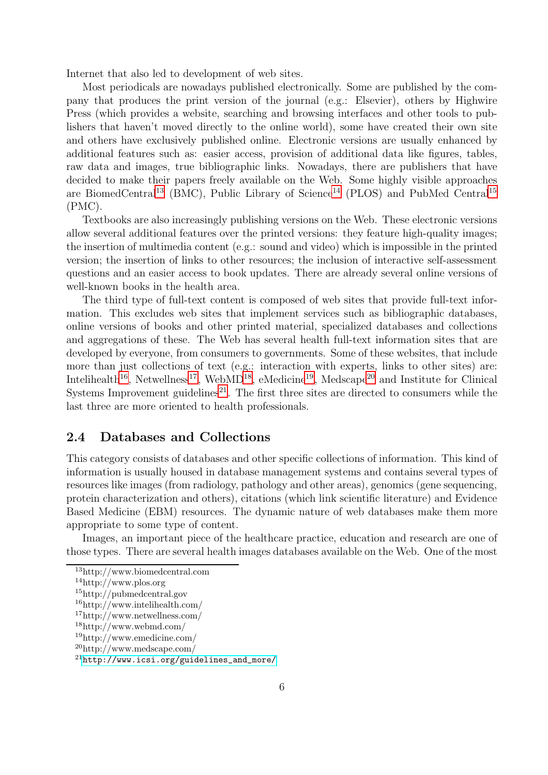Internet that also led to development of web sites.

Most periodicals are nowadays published electronically. Some are published by the company that produces the print version of the journal (e.g.: Elsevier), others by Highwire Press (which provides a website, searching and browsing interfaces and other tools to publishers that haven't moved directly to the online world), some have created their own site and others have exclusively published online. Electronic versions are usually enhanced by additional features such as: easier access, provision of additional data like figures, tables, raw data and images, true bibliographic links. Nowadays, there are publishers that have decided to make their papers freely available on the Web. Some highly visible approaches are BiomedCentral<sup>[13](#page-8-1)</sup> (BMC), Public Library of Science<sup>[14](#page-8-2)</sup> (PLOS) and PubMed Central<sup>[15](#page-8-3)</sup> (PMC).

Textbooks are also increasingly publishing versions on the Web. These electronic versions allow several additional features over the printed versions: they feature high-quality images; the insertion of multimedia content (e.g.: sound and video) which is impossible in the printed version; the insertion of links to other resources; the inclusion of interactive self-assessment questions and an easier access to book updates. There are already several online versions of well-known books in the health area.

The third type of full-text content is composed of web sites that provide full-text information. This excludes web sites that implement services such as bibliographic databases, online versions of books and other printed material, specialized databases and collections and aggregations of these. The Web has several health full-text information sites that are developed by everyone, from consumers to governments. Some of these websites, that include more than just collections of text (e.g.: interaction with experts, links to other sites) are: Intelihealth<sup>[16](#page-8-4)</sup>, Netwellness<sup>[17](#page-8-5)</sup>, WebMD<sup>[18](#page-8-6)</sup>, eMedicine<sup>[19](#page-8-7)</sup>, Medscape<sup>[20](#page-8-8)</sup> and Institute for Clinical Systems Improvement guidelines<sup>[21](#page-8-9)</sup>. The first three sites are directed to consumers while the last three are more oriented to health professionals.

### <span id="page-8-0"></span>2.4 Databases and Collections

This category consists of databases and other specific collections of information. This kind of information is usually housed in database management systems and contains several types of resources like images (from radiology, pathology and other areas), genomics (gene sequencing, protein characterization and others), citations (which link scientific literature) and Evidence Based Medicine (EBM) resources. The dynamic nature of web databases make them more appropriate to some type of content.

Images, an important piece of the healthcare practice, education and research are one of those types. There are several health images databases available on the Web. One of the most

<sup>13</sup>http://www.biomedcentral.com

<span id="page-8-1"></span><sup>14</sup>http://www.plos.org

<span id="page-8-2"></span><sup>15</sup>http://pubmedcentral.gov

<span id="page-8-3"></span><sup>16</sup>http://www.intelihealth.com/

<span id="page-8-4"></span><sup>17</sup>http://www.netwellness.com/

<span id="page-8-5"></span><sup>18</sup>http://www.webmd.com/

<span id="page-8-6"></span><sup>19</sup>http://www.emedicine.com/ <sup>20</sup>http://www.medscape.com/

<span id="page-8-7"></span>

<span id="page-8-9"></span><span id="page-8-8"></span> $^{21}$ [http://www.icsi.org/guidelines\\_and\\_more/](http://www.icsi.org/guidelines_and_more/)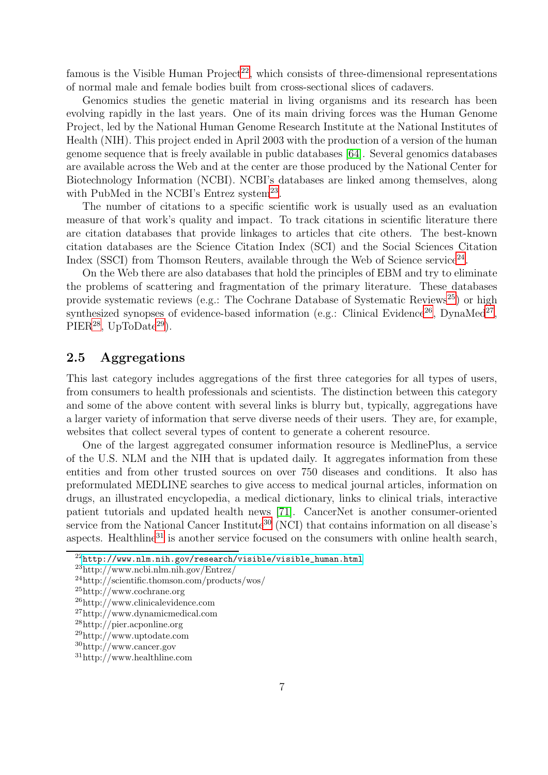famous is the Visible Human  $Project^{22}$  $Project^{22}$  $Project^{22}$ , which consists of three-dimensional representations of normal male and female bodies built from cross-sectional slices of cadavers.

Genomics studies the genetic material in living organisms and its research has been evolving rapidly in the last years. One of its main driving forces was the Human Genome Project, led by the National Human Genome Research Institute at the National Institutes of Health (NIH). This project ended in April 2003 with the production of a version of the human genome sequence that is freely available in public databases [\[64\]](#page-33-6). Several genomics databases are available across the Web and at the center are those produced by the National Center for Biotechnology Information (NCBI). NCBI's databases are linked among themselves, along with PubMed in the NCBI's Entrez system<sup>[23](#page-9-2)</sup>.

The number of citations to a specific scientific work is usually used as an evaluation measure of that work's quality and impact. To track citations in scientific literature there are citation databases that provide linkages to articles that cite others. The best-known citation databases are the Science Citation Index (SCI) and the Social Sciences Citation Index (SSCI) from Thomson Reuters, available through the Web of Science service<sup>[24](#page-9-3)</sup>.

On the Web there are also databases that hold the principles of EBM and try to eliminate the problems of scattering and fragmentation of the primary literature. These databases provide systematic reviews (e.g.: The Cochrane Database of Systematic Reviews<sup>[25](#page-9-4)</sup>) or high synthesized synopses of evidence-based information (e.g.: Clinical Evidence<sup>[26](#page-9-5)</sup>, DynaMed<sup>[27](#page-9-6)</sup>,  $PIER<sup>28</sup>$  $PIER<sup>28</sup>$  $PIER<sup>28</sup>$ , UpToDate<sup>[29](#page-9-8)</sup>).

# <span id="page-9-0"></span>2.5 Aggregations

This last category includes aggregations of the first three categories for all types of users, from consumers to health professionals and scientists. The distinction between this category and some of the above content with several links is blurry but, typically, aggregations have a larger variety of information that serve diverse needs of their users. They are, for example, websites that collect several types of content to generate a coherent resource.

One of the largest aggregated consumer information resource is MedlinePlus, a service of the U.S. NLM and the NIH that is updated daily. It aggregates information from these entities and from other trusted sources on over 750 diseases and conditions. It also has preformulated MEDLINE searches to give access to medical journal articles, information on drugs, an illustrated encyclopedia, a medical dictionary, links to clinical trials, interactive patient tutorials and updated health news [\[71\]](#page-34-4). CancerNet is another consumer-oriented service from the National Cancer Institute<sup>[30](#page-9-9)</sup> (NCI) that contains information on all disease's aspects. Healthline<sup>[31](#page-9-10)</sup> is another service focused on the consumers with online health search,

 $^{22}$ [http://www.nlm.nih.gov/research/visible/visible\\_human.html](http://www.nlm.nih.gov/research/visible/visible_human.html)

<span id="page-9-1"></span><sup>23</sup>http://www.ncbi.nlm.nih.gov/Entrez/

<span id="page-9-2"></span><sup>24</sup>http://scientific.thomson.com/products/wos/

<span id="page-9-3"></span><sup>25</sup>http://www.cochrane.org

<span id="page-9-4"></span><sup>26</sup>http://www.clinicalevidence.com

<span id="page-9-5"></span><sup>27</sup>http://www.dynamicmedical.com

<span id="page-9-6"></span><sup>28</sup>http://pier.acponline.org

<span id="page-9-7"></span><sup>29</sup>http://www.uptodate.com

<span id="page-9-8"></span><sup>30</sup>http://www.cancer.gov

<span id="page-9-10"></span><span id="page-9-9"></span><sup>31</sup>http://www.healthline.com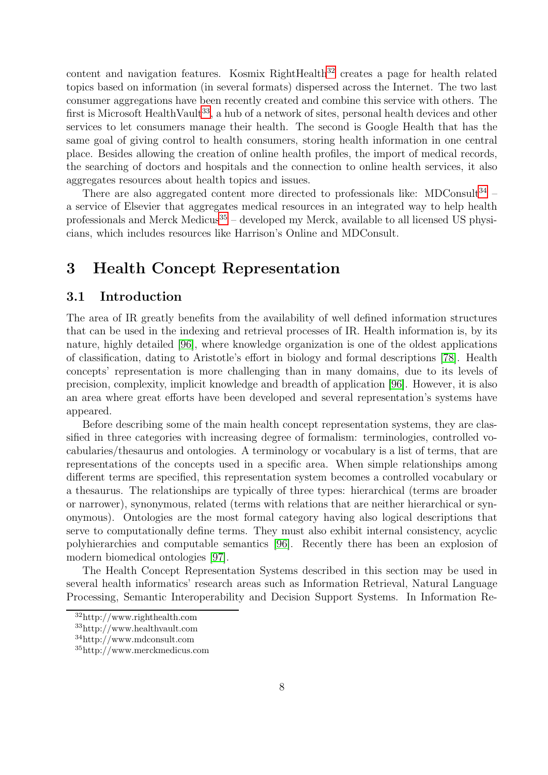content and navigation features. Kosmix RightHealth $32$  creates a page for health related topics based on information (in several formats) dispersed across the Internet. The two last consumer aggregations have been recently created and combine this service with others. The first is Microsoft HealthVault<sup>[33](#page-10-3)</sup>, a hub of a network of sites, personal health devices and other services to let consumers manage their health. The second is Google Health that has the same goal of giving control to health consumers, storing health information in one central place. Besides allowing the creation of online health profiles, the import of medical records, the searching of doctors and hospitals and the connection to online health services, it also aggregates resources about health topics and issues.

There are also aggregated content more directed to professionals like: MDConsult<sup>[34](#page-10-4)</sup> – a service of Elsevier that aggregates medical resources in an integrated way to help health professionals and Merck Medicus<sup>[35](#page-10-5)</sup> – developed my Merck, available to all licensed US physicians, which includes resources like Harrison's Online and MDConsult.

# <span id="page-10-1"></span><span id="page-10-0"></span>3 Health Concept Representation

# 3.1 Introduction

The area of IR greatly benefits from the availability of well defined information structures that can be used in the indexing and retrieval processes of IR. Health information is, by its nature, highly detailed [\[96\]](#page-36-1), where knowledge organization is one of the oldest applications of classification, dating to Aristotle's effort in biology and formal descriptions [\[78\]](#page-34-5). Health concepts' representation is more challenging than in many domains, due to its levels of precision, complexity, implicit knowledge and breadth of application [\[96\]](#page-36-1). However, it is also an area where great efforts have been developed and several representation's systems have appeared.

Before describing some of the main health concept representation systems, they are classified in three categories with increasing degree of formalism: terminologies, controlled vocabularies/thesaurus and ontologies. A terminology or vocabulary is a list of terms, that are representations of the concepts used in a specific area. When simple relationships among different terms are specified, this representation system becomes a controlled vocabulary or a thesaurus. The relationships are typically of three types: hierarchical (terms are broader or narrower), synonymous, related (terms with relations that are neither hierarchical or synonymous). Ontologies are the most formal category having also logical descriptions that serve to computationally define terms. They must also exhibit internal consistency, acyclic polyhierarchies and computable semantics [\[96\]](#page-36-1). Recently there has been an explosion of modern biomedical ontologies [\[97\]](#page-36-2).

The Health Concept Representation Systems described in this section may be used in several health informatics' research areas such as Information Retrieval, Natural Language Processing, Semantic Interoperability and Decision Support Systems. In Information Re-

<sup>32</sup>http://www.righthealth.com

<span id="page-10-2"></span><sup>33</sup>http://www.healthvault.com

<span id="page-10-3"></span><sup>34</sup>http://www.mdconsult.com

<span id="page-10-5"></span><span id="page-10-4"></span><sup>35</sup>http://www.merckmedicus.com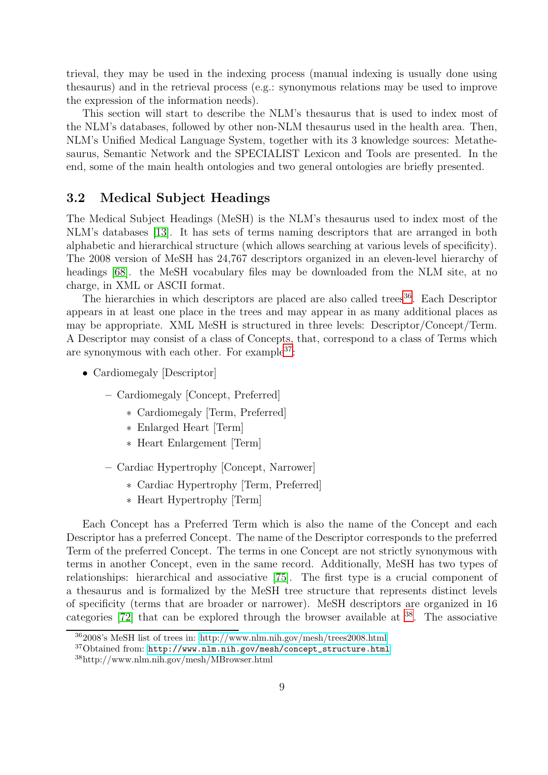trieval, they may be used in the indexing process (manual indexing is usually done using thesaurus) and in the retrieval process (e.g.: synonymous relations may be used to improve the expression of the information needs).

This section will start to describe the NLM's thesaurus that is used to index most of the NLM's databases, followed by other non-NLM thesaurus used in the health area. Then, NLM's Unified Medical Language System, together with its 3 knowledge sources: Metathesaurus, Semantic Network and the SPECIALIST Lexicon and Tools are presented. In the end, some of the main health ontologies and two general ontologies are briefly presented.

# <span id="page-11-0"></span>3.2 Medical Subject Headings

The Medical Subject Headings (MeSH) is the NLM's thesaurus used to index most of the NLM's databases [\[13\]](#page-29-6). It has sets of terms naming descriptors that are arranged in both alphabetic and hierarchical structure (which allows searching at various levels of specificity). The 2008 version of MeSH has 24,767 descriptors organized in an eleven-level hierarchy of headings [\[68\]](#page-34-6). the MeSH vocabulary files may be downloaded from the NLM site, at no charge, in XML or ASCII format.

The hierarchies in which descriptors are placed are also called trees<sup>[36](#page-11-1)</sup>. Each Descriptor appears in at least one place in the trees and may appear in as many additional places as may be appropriate. XML MeSH is structured in three levels: Descriptor/Concept/Term. A Descriptor may consist of a class of Concepts, that, correspond to a class of Terms which are synonymous with each other. For example  $37$ :

- Cardiomegaly [Descriptor]
	- Cardiomegaly [Concept, Preferred]
		- ∗ Cardiomegaly [Term, Preferred]
		- ∗ Enlarged Heart [Term]
		- ∗ Heart Enlargement [Term]
	- Cardiac Hypertrophy [Concept, Narrower]
		- ∗ Cardiac Hypertrophy [Term, Preferred]
		- ∗ Heart Hypertrophy [Term]

Each Concept has a Preferred Term which is also the name of the Concept and each Descriptor has a preferred Concept. The name of the Descriptor corresponds to the preferred Term of the preferred Concept. The terms in one Concept are not strictly synonymous with terms in another Concept, even in the same record. Additionally, MeSH has two types of relationships: hierarchical and associative [\[75\]](#page-34-7). The first type is a crucial component of a thesaurus and is formalized by the MeSH tree structure that represents distinct levels of specificity (terms that are broader or narrower). MeSH descriptors are organized in 16 categories  $[72]$  that can be explored through the browser available at  $38$ . The associative

<sup>36</sup>2008's MeSH list of trees in:<http://www.nlm.nih.gov/mesh/trees2008.html>

<span id="page-11-1"></span><sup>37</sup>Obtained from: [http://www.nlm.nih.gov/mesh/concept\\_structure.html](http://www.nlm.nih.gov/mesh/concept_structure.html)

<span id="page-11-3"></span><span id="page-11-2"></span><sup>38</sup>http://www.nlm.nih.gov/mesh/MBrowser.html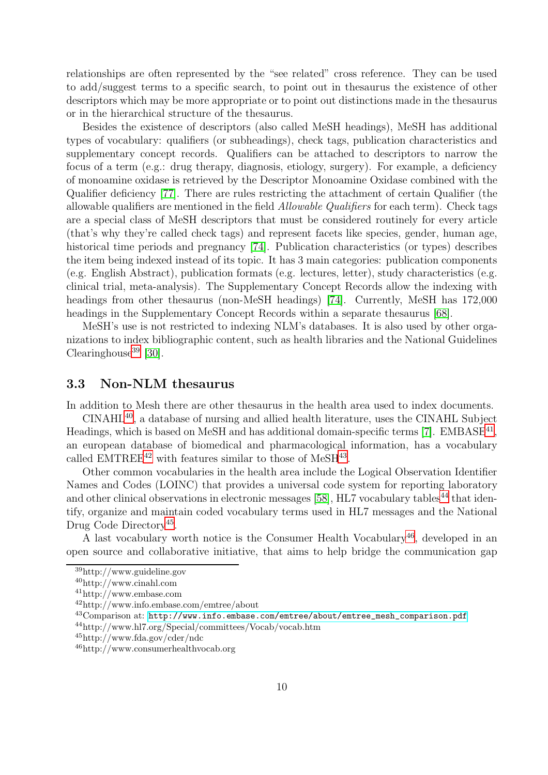relationships are often represented by the "see related" cross reference. They can be used to add/suggest terms to a specific search, to point out in thesaurus the existence of other descriptors which may be more appropriate or to point out distinctions made in the thesaurus or in the hierarchical structure of the thesaurus.

Besides the existence of descriptors (also called MeSH headings), MeSH has additional types of vocabulary: qualifiers (or subheadings), check tags, publication characteristics and supplementary concept records. Qualifiers can be attached to descriptors to narrow the focus of a term (e.g.: drug therapy, diagnosis, etiology, surgery). For example, a deficiency of monoamine oxidase is retrieved by the Descriptor Monoamine Oxidase combined with the Qualifier deficiency [\[77\]](#page-34-9). There are rules restricting the attachment of certain Qualifier (the allowable qualifiers are mentioned in the field *Allowable Qualifiers* for each term). Check tags are a special class of MeSH descriptors that must be considered routinely for every article (that's why they're called check tags) and represent facets like species, gender, human age, historical time periods and pregnancy [\[74\]](#page-34-10). Publication characteristics (or types) describes the item being indexed instead of its topic. It has 3 main categories: publication components (e.g. English Abstract), publication formats (e.g. lectures, letter), study characteristics (e.g. clinical trial, meta-analysis). The Supplementary Concept Records allow the indexing with headings from other thesaurus (non-MeSH headings) [\[74\]](#page-34-10). Currently, MeSH has 172,000 headings in the Supplementary Concept Records within a separate thesaurus [\[68\]](#page-34-6).

MeSH's use is not restricted to indexing NLM's databases. It is also used by other organizations to index bibliographic content, such as health libraries and the National Guidelines Clearinghouse<sup>[39](#page-12-1)</sup> [\[30\]](#page-31-1).

# <span id="page-12-0"></span>3.3 Non-NLM thesaurus

In addition to Mesh there are other thesaurus in the health area used to index documents.

CINAHL[40](#page-12-2), a database of nursing and allied health literature, uses the CINAHL Subject Headings, which is based on MeSH and has additional domain-specific terms [\[7\]](#page-29-7). EMBASE<sup>[41](#page-12-3)</sup>, an european database of biomedical and pharmacological information, has a vocabulary called EMTREE<sup>[42](#page-12-4)</sup> with features similar to those of MeSH<sup>[43](#page-12-5)</sup>.

Other common vocabularies in the health area include the Logical Observation Identifier Names and Codes (LOINC) that provides a universal code system for reporting laboratory and other clinical observations in electronic messages  $[58]$ , HL7 vocabulary tables<sup>[44](#page-12-6)</sup> that identify, organize and maintain coded vocabulary terms used in HL7 messages and the National Drug Code Directory<sup>[45](#page-12-7)</sup>.

A last vocabulary worth notice is the Consumer Health Vocabulary<sup>[46](#page-12-8)</sup>, developed in an open source and collaborative initiative, that aims to help bridge the communication gap

<sup>39</sup>http://www.guideline.gov

<span id="page-12-1"></span><sup>40</sup>http://www.cinahl.com

<span id="page-12-2"></span><sup>41</sup>http://www.embase.com

<span id="page-12-3"></span><sup>42</sup>http://www.info.embase.com/emtree/about

<span id="page-12-4"></span><sup>43</sup>Comparison at: [http://www.info.embase.com/emtree/about/emtree\\_mesh\\_comparison.pdf](http://www.info.embase.com/emtree/about/emtree_mesh_comparison.pdf)

<span id="page-12-5"></span><sup>44</sup>http://www.hl7.org/Special/committees/Vocab/vocab.htm

<span id="page-12-6"></span><sup>45</sup>http://www.fda.gov/cder/ndc

<span id="page-12-8"></span><span id="page-12-7"></span><sup>46</sup>http://www.consumerhealthvocab.org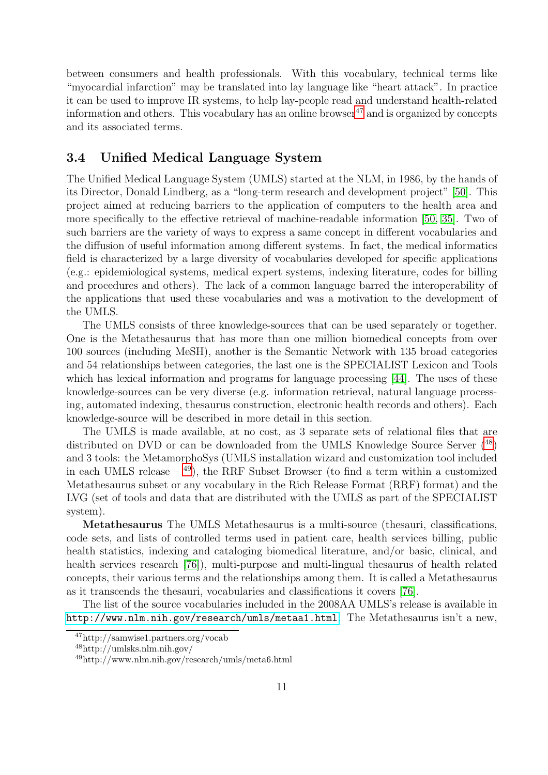between consumers and health professionals. With this vocabulary, technical terms like "myocardial infarction" may be translated into lay language like "heart attack". In practice it can be used to improve IR systems, to help lay-people read and understand health-related information and others. This vocabulary has an online browser<sup>[47](#page-13-1)</sup> and is organized by concepts and its associated terms.

## <span id="page-13-0"></span>3.4 Unified Medical Language System

The Unified Medical Language System (UMLS) started at the NLM, in 1986, by the hands of its Director, Donald Lindberg, as a "long-term research and development project" [\[50\]](#page-32-3). This project aimed at reducing barriers to the application of computers to the health area and more specifically to the effective retrieval of machine-readable information [\[50,](#page-32-3) [35\]](#page-31-2). Two of such barriers are the variety of ways to express a same concept in different vocabularies and the diffusion of useful information among different systems. In fact, the medical informatics field is characterized by a large diversity of vocabularies developed for specific applications (e.g.: epidemiological systems, medical expert systems, indexing literature, codes for billing and procedures and others). The lack of a common language barred the interoperability of the applications that used these vocabularies and was a motivation to the development of the UMLS.

The UMLS consists of three knowledge-sources that can be used separately or together. One is the Metathesaurus that has more than one million biomedical concepts from over 100 sources (including MeSH), another is the Semantic Network with 135 broad categories and 54 relationships between categories, the last one is the SPECIALIST Lexicon and Tools which has lexical information and programs for language processing [\[44\]](#page-32-4). The uses of these knowledge-sources can be very diverse (e.g. information retrieval, natural language processing, automated indexing, thesaurus construction, electronic health records and others). Each knowledge-source will be described in more detail in this section.

The UMLS is made available, at no cost, as 3 separate sets of relational files that are distributed on DVD or can be downloaded from the UMLS Knowledge Source Server ([48](#page-13-2)) and 3 tools: the MetamorphoSys (UMLS installation wizard and customization tool included in each UMLS release  $-$  <sup>[49](#page-13-3)</sup>), the RRF Subset Browser (to find a term within a customized Metathesaurus subset or any vocabulary in the Rich Release Format (RRF) format) and the LVG (set of tools and data that are distributed with the UMLS as part of the SPECIALIST system).

Metathesaurus The UMLS Metathesaurus is a multi-source (thesauri, classifications, code sets, and lists of controlled terms used in patient care, health services billing, public health statistics, indexing and cataloging biomedical literature, and/or basic, clinical, and health services research [\[76\]](#page-34-11)), multi-purpose and multi-lingual thesaurus of health related concepts, their various terms and the relationships among them. It is called a Metathesaurus as it transcends the thesauri, vocabularies and classifications it covers [\[76\]](#page-34-11).

The list of the source vocabularies included in the 2008AA UMLS's release is available in <http://www.nlm.nih.gov/research/umls/metaa1.html>. The Metathesaurus isn't a new,

<sup>47</sup>http://samwise1.partners.org/vocab

<span id="page-13-1"></span><sup>48</sup>http://umlsks.nlm.nih.gov/

<span id="page-13-3"></span><span id="page-13-2"></span><sup>49</sup>http://www.nlm.nih.gov/research/umls/meta6.html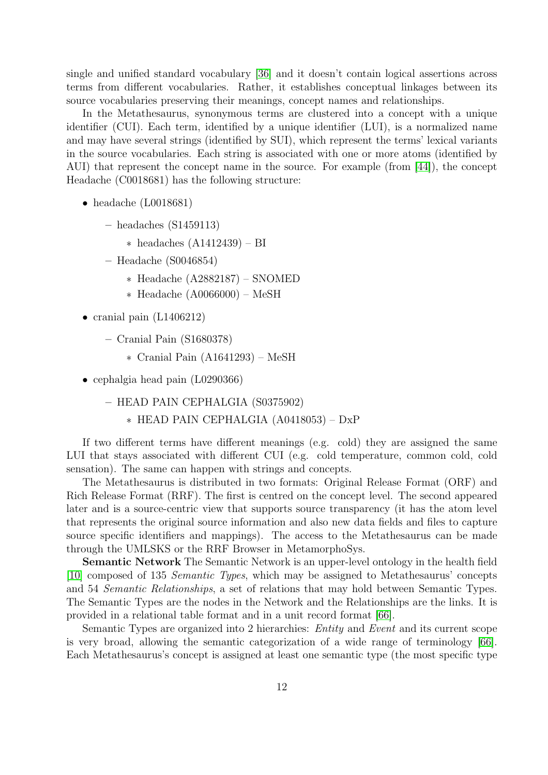single and unified standard vocabulary [\[36\]](#page-31-3) and it doesn't contain logical assertions across terms from different vocabularies. Rather, it establishes conceptual linkages between its source vocabularies preserving their meanings, concept names and relationships.

In the Metathesaurus, synonymous terms are clustered into a concept with a unique identifier (CUI). Each term, identified by a unique identifier (LUI), is a normalized name and may have several strings (identified by SUI), which represent the terms' lexical variants in the source vocabularies. Each string is associated with one or more atoms (identified by AUI) that represent the concept name in the source. For example (from [\[44\]](#page-32-4)), the concept Headache (C0018681) has the following structure:

- headache (L0018681)
	- headaches (S1459113)
		- ∗ headaches (A1412439) BI
	- Headache (S0046854)
		- ∗ Headache (A2882187) SNOMED
		- ∗ Headache (A0066000) MeSH
- cranial pain (L1406212)
	- Cranial Pain (S1680378)
		- ∗ Cranial Pain (A1641293) MeSH
- cephalgia head pain (L0290366)
	- HEAD PAIN CEPHALGIA (S0375902)
		- ∗ HEAD PAIN CEPHALGIA (A0418053) DxP

If two different terms have different meanings (e.g. cold) they are assigned the same LUI that stays associated with different CUI (e.g. cold temperature, common cold, cold sensation). The same can happen with strings and concepts.

The Metathesaurus is distributed in two formats: Original Release Format (ORF) and Rich Release Format (RRF). The first is centred on the concept level. The second appeared later and is a source-centric view that supports source transparency (it has the atom level that represents the original source information and also new data fields and files to capture source specific identifiers and mappings). The access to the Metathesaurus can be made through the UMLSKS or the RRF Browser in MetamorphoSys.

Semantic Network The Semantic Network is an upper-level ontology in the health field [\[10\]](#page-29-8) composed of 135 *Semantic Types*, which may be assigned to Metathesaurus' concepts and 54 *Semantic Relationships*, a set of relations that may hold between Semantic Types. The Semantic Types are the nodes in the Network and the Relationships are the links. It is provided in a relational table format and in a unit record format [\[66\]](#page-34-12).

Semantic Types are organized into 2 hierarchies: *Entity* and *Event* and its current scope is very broad, allowing the semantic categorization of a wide range of terminology [\[66\]](#page-34-12). Each Metathesaurus's concept is assigned at least one semantic type (the most specific type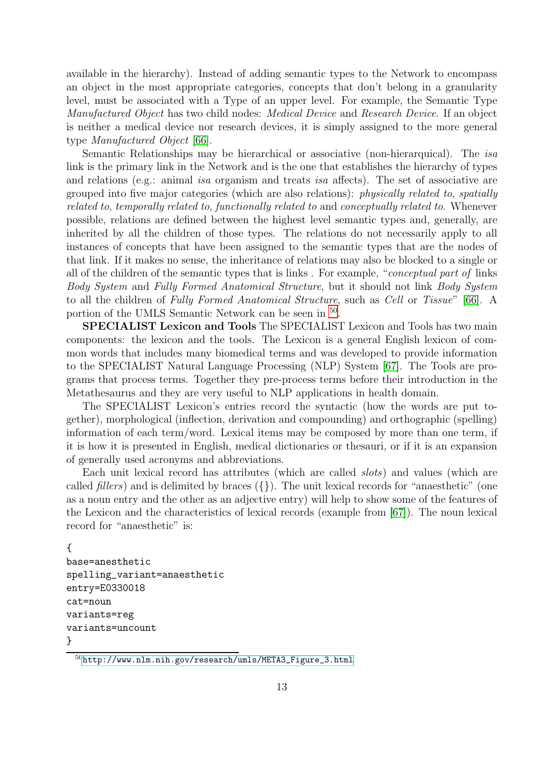available in the hierarchy). Instead of adding semantic types to the Network to encompass an object in the most appropriate categories, concepts that don't belong in a granularity level, must be associated with a Type of an upper level. For example, the Semantic Type *Manufactured Object* has two child nodes: *Medical Device* and *Research Device*. If an object is neither a medical device nor research devices, it is simply assigned to the more general type *Manufactured Object* [\[66\]](#page-34-12).

Semantic Relationships may be hierarchical or associative (non-hierarquical). The *isa* link is the primary link in the Network and is the one that establishes the hierarchy of types and relations (e.g.: animal *isa* organism and treats *isa* affects). The set of associative are grouped into five major categories (which are also relations): *physically related to*, *spatially related to*, *temporally related to*, *functionally related to* and *conceptually related to*. Whenever possible, relations are defined between the highest level semantic types and, generally, are inherited by all the children of those types. The relations do not necessarily apply to all instances of concepts that have been assigned to the semantic types that are the nodes of that link. If it makes no sense, the inheritance of relations may also be blocked to a single or all of the children of the semantic types that is links . For example, "*conceptual part of* links *Body System* and *Fully Formed Anatomical Structure*, but it should not link *Body System* to all the children of *Fully Formed Anatomical Structure*, such as *Cell* or *Tissue*" [\[66\]](#page-34-12). A portion of the UMLS Semantic Network can be seen in <sup>[50](#page-15-0)</sup>.

SPECIALIST Lexicon and Tools The SPECIALIST Lexicon and Tools has two main components: the lexicon and the tools. The Lexicon is a general English lexicon of common words that includes many biomedical terms and was developed to provide information to the SPECIALIST Natural Language Processing (NLP) System [\[67\]](#page-34-13). The Tools are programs that process terms. Together they pre-process terms before their introduction in the Metathesaurus and they are very useful to NLP applications in health domain.

The SPECIALIST Lexicon's entries record the syntactic (how the words are put together), morphological (inflection, derivation and compounding) and orthographic (spelling) information of each term/word. Lexical items may be composed by more than one term, if it is how it is presented in English, medical dictionaries or thesauri, or if it is an expansion of generally used acronyms and abbreviations.

Each unit lexical record has attributes (which are called *slots*) and values (which are called *fillers*) and is delimited by braces  $({\}$ . The unit lexical records for "anaesthetic" (one as a noun entry and the other as an adjective entry) will help to show some of the features of the Lexicon and the characteristics of lexical records (example from [\[67\]](#page-34-13)). The noun lexical record for "anaesthetic" is:

```
{
base=anesthetic
spelling_variant=anaesthetic
entry=E0330018
cat=noun
variants=reg
variants=uncount
}
```
<span id="page-15-0"></span><sup>50</sup>[http://www.nlm.nih.gov/research/umls/META3\\_Figure\\_3.html](http://www.nlm.nih.gov/research/umls/META3_Figure_3.html)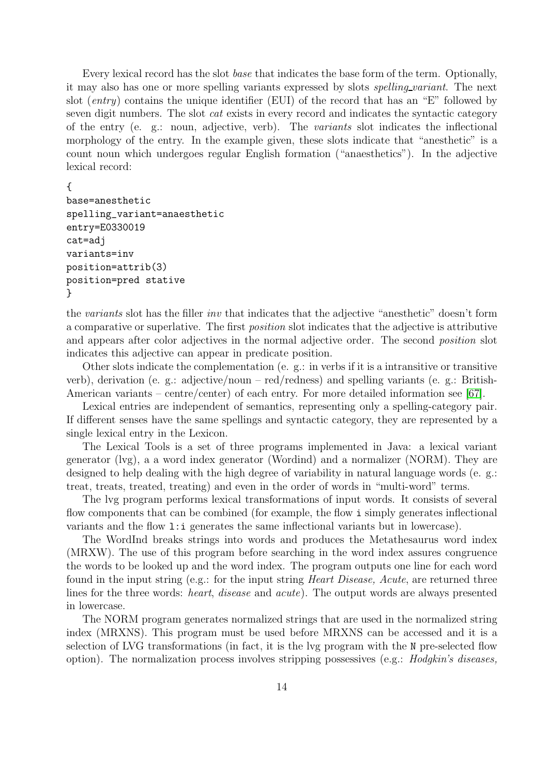Every lexical record has the slot *base* that indicates the base form of the term. Optionally, it may also has one or more spelling variants expressed by slots *spelling variant*. The next slot (*entry*) contains the unique identifier (EUI) of the record that has an "E" followed by seven digit numbers. The slot *cat* exists in every record and indicates the syntactic category of the entry (e. g.: noun, adjective, verb). The *variants* slot indicates the inflectional morphology of the entry. In the example given, these slots indicate that "anesthetic" is a count noun which undergoes regular English formation ("anaesthetics"). In the adjective lexical record:

#### {

```
base=anesthetic
spelling_variant=anaesthetic
entry=E0330019
cat=adj
variants=inv
position=attrib(3)
position=pred stative
}
```
the *variants* slot has the filler *inv* that indicates that the adjective "anesthetic" doesn't form a comparative or superlative. The first *position* slot indicates that the adjective is attributive and appears after color adjectives in the normal adjective order. The second *position* slot indicates this adjective can appear in predicate position.

Other slots indicate the complementation (e. g.: in verbs if it is a intransitive or transitive verb), derivation (e. g.: adjective/noun – red/redness) and spelling variants (e. g.: British-American variants – centre/center) of each entry. For more detailed information see [\[67\]](#page-34-13).

Lexical entries are independent of semantics, representing only a spelling-category pair. If different senses have the same spellings and syntactic category, they are represented by a single lexical entry in the Lexicon.

The Lexical Tools is a set of three programs implemented in Java: a lexical variant generator (lvg), a a word index generator (Wordind) and a normalizer (NORM). They are designed to help dealing with the high degree of variability in natural language words (e. g.: treat, treats, treated, treating) and even in the order of words in "multi-word" terms.

The lvg program performs lexical transformations of input words. It consists of several flow components that can be combined (for example, the flow i simply generates inflectional variants and the flow l:i generates the same inflectional variants but in lowercase).

The WordInd breaks strings into words and produces the Metathesaurus word index (MRXW). The use of this program before searching in the word index assures congruence the words to be looked up and the word index. The program outputs one line for each word found in the input string (e.g.: for the input string *Heart Disease, Acute*, are returned three lines for the three words: *heart*, *disease* and *acute*). The output words are always presented in lowercase.

The NORM program generates normalized strings that are used in the normalized string index (MRXNS). This program must be used before MRXNS can be accessed and it is a selection of LVG transformations (in fact, it is the lvg program with the N pre-selected flow option). The normalization process involves stripping possessives (e.g.: *Hodgkin's diseases,*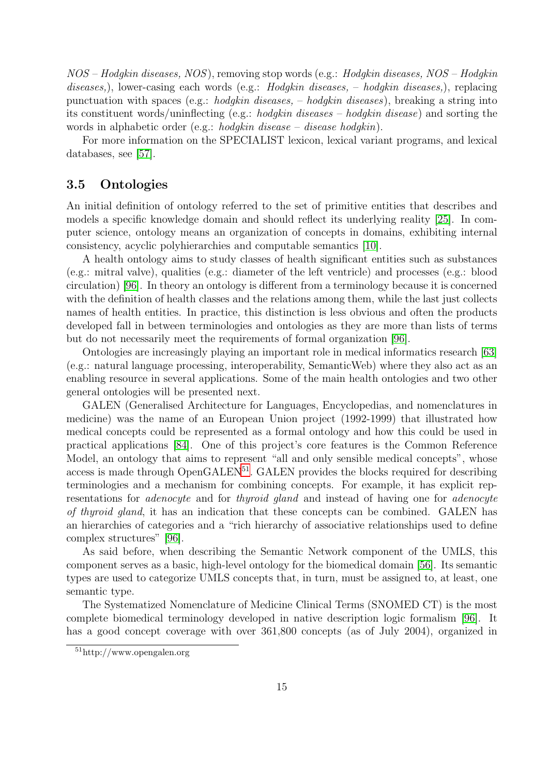*NOS* – *Hodgkin diseases, NOS*), removing stop words (e.g.: *Hodgkin diseases, NOS* – *Hodgkin diseases,*), lower-casing each words (e.g.: *Hodgkin diseases,* – *hodgkin diseases,*), replacing punctuation with spaces (e.g.: *hodgkin diseases,* – *hodgkin diseases*), breaking a string into its constituent words/uninflecting (e.g.: *hodgkin diseases* – *hodgkin disease*) and sorting the words in alphabetic order (e.g.: *hodgkin disease* – *disease hodgkin*).

For more information on the SPECIALIST lexicon, lexical variant programs, and lexical databases, see [\[57\]](#page-33-8).

### <span id="page-17-0"></span>3.5 Ontologies

An initial definition of ontology referred to the set of primitive entities that describes and models a specific knowledge domain and should reflect its underlying reality [\[25\]](#page-30-3). In computer science, ontology means an organization of concepts in domains, exhibiting internal consistency, acyclic polyhierarchies and computable semantics [\[10\]](#page-29-8).

A health ontology aims to study classes of health significant entities such as substances (e.g.: mitral valve), qualities (e.g.: diameter of the left ventricle) and processes (e.g.: blood circulation) [\[96\]](#page-36-1). In theory an ontology is different from a terminology because it is concerned with the definition of health classes and the relations among them, while the last just collects names of health entities. In practice, this distinction is less obvious and often the products developed fall in between terminologies and ontologies as they are more than lists of terms but do not necessarily meet the requirements of formal organization [\[96\]](#page-36-1).

Ontologies are increasingly playing an important role in medical informatics research [\[63\]](#page-33-9) (e.g.: natural language processing, interoperability, SemanticWeb) where they also act as an enabling resource in several applications. Some of the main health ontologies and two other general ontologies will be presented next.

GALEN (Generalised Architecture for Languages, Encyclopedias, and nomenclatures in medicine) was the name of an European Union project (1992-1999) that illustrated how medical concepts could be represented as a formal ontology and how this could be used in practical applications [\[84\]](#page-35-5). One of this project's core features is the Common Reference Model, an ontology that aims to represent "all and only sensible medical concepts", whose access is made through  $OpenGALEN<sup>51</sup>$  $OpenGALEN<sup>51</sup>$  $OpenGALEN<sup>51</sup>$ . GALEN provides the blocks required for describing terminologies and a mechanism for combining concepts. For example, it has explicit representations for *adenocyte* and for *thyroid gland* and instead of having one for *adenocyte of thyroid gland*, it has an indication that these concepts can be combined. GALEN has an hierarchies of categories and a "rich hierarchy of associative relationships used to define complex structures" [\[96\]](#page-36-1).

As said before, when describing the Semantic Network component of the UMLS, this component serves as a basic, high-level ontology for the biomedical domain [\[56\]](#page-33-10). Its semantic types are used to categorize UMLS concepts that, in turn, must be assigned to, at least, one semantic type.

The Systematized Nomenclature of Medicine Clinical Terms (SNOMED CT) is the most complete biomedical terminology developed in native description logic formalism [\[96\]](#page-36-1). It has a good concept coverage with over 361,800 concepts (as of July 2004), organized in

<span id="page-17-1"></span><sup>51</sup>http://www.opengalen.org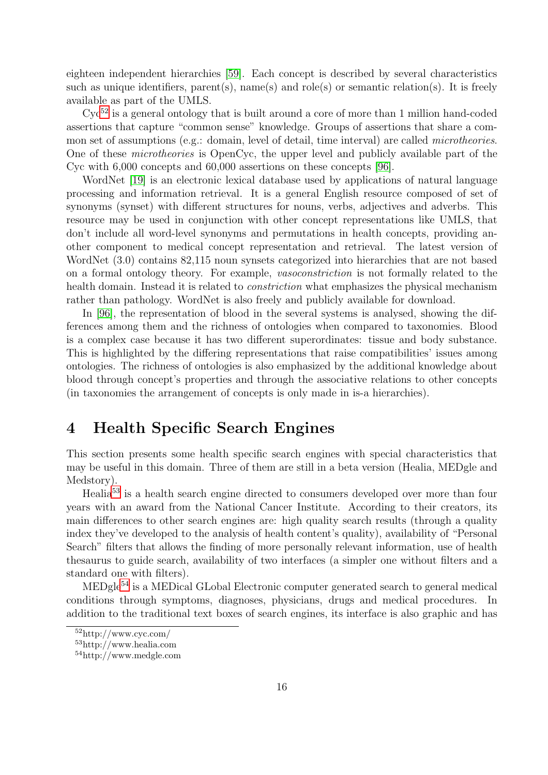eighteen independent hierarchies [\[59\]](#page-33-11). Each concept is described by several characteristics such as unique identifiers, parent(s), name(s) and role(s) or semantic relation(s). It is freely available as part of the UMLS.

 $Cyc^{52}$  $Cyc^{52}$  $Cyc^{52}$  is a general ontology that is built around a core of more than 1 million hand-coded assertions that capture "common sense" knowledge. Groups of assertions that share a common set of assumptions (e.g.: domain, level of detail, time interval) are called *microtheories*. One of these *microtheories* is OpenCyc, the upper level and publicly available part of the Cyc with 6,000 concepts and 60,000 assertions on these concepts [\[96\]](#page-36-1).

WordNet [\[19\]](#page-30-4) is an electronic lexical database used by applications of natural language processing and information retrieval. It is a general English resource composed of set of synonyms (synset) with different structures for nouns, verbs, adjectives and adverbs. This resource may be used in conjunction with other concept representations like UMLS, that don't include all word-level synonyms and permutations in health concepts, providing another component to medical concept representation and retrieval. The latest version of WordNet (3.0) contains 82,115 noun synsets categorized into hierarchies that are not based on a formal ontology theory. For example, *vasoconstriction* is not formally related to the health domain. Instead it is related to *constriction* what emphasizes the physical mechanism rather than pathology. WordNet is also freely and publicly available for download.

In [\[96\]](#page-36-1), the representation of blood in the several systems is analysed, showing the differences among them and the richness of ontologies when compared to taxonomies. Blood is a complex case because it has two different superordinates: tissue and body substance. This is highlighted by the differing representations that raise compatibilities' issues among ontologies. The richness of ontologies is also emphasized by the additional knowledge about blood through concept's properties and through the associative relations to other concepts (in taxonomies the arrangement of concepts is only made in is-a hierarchies).

# <span id="page-18-0"></span>4 Health Specific Search Engines

This section presents some health specific search engines with special characteristics that may be useful in this domain. Three of them are still in a beta version (Healia, MEDgle and Medstory).

Healia<sup>[53](#page-18-2)</sup> is a health search engine directed to consumers developed over more than four years with an award from the National Cancer Institute. According to their creators, its main differences to other search engines are: high quality search results (through a quality index they've developed to the analysis of health content's quality), availability of "Personal Search" filters that allows the finding of more personally relevant information, use of health thesaurus to guide search, availability of two interfaces (a simpler one without filters and a standard one with filters).

MEDgle<sup>[54](#page-18-3)</sup> is a MEDical GLobal Electronic computer generated search to general medical conditions through symptoms, diagnoses, physicians, drugs and medical procedures. In addition to the traditional text boxes of search engines, its interface is also graphic and has

<sup>52</sup>http://www.cyc.com/

<span id="page-18-1"></span><sup>53</sup>http://www.healia.com

<span id="page-18-3"></span><span id="page-18-2"></span><sup>54</sup>http://www.medgle.com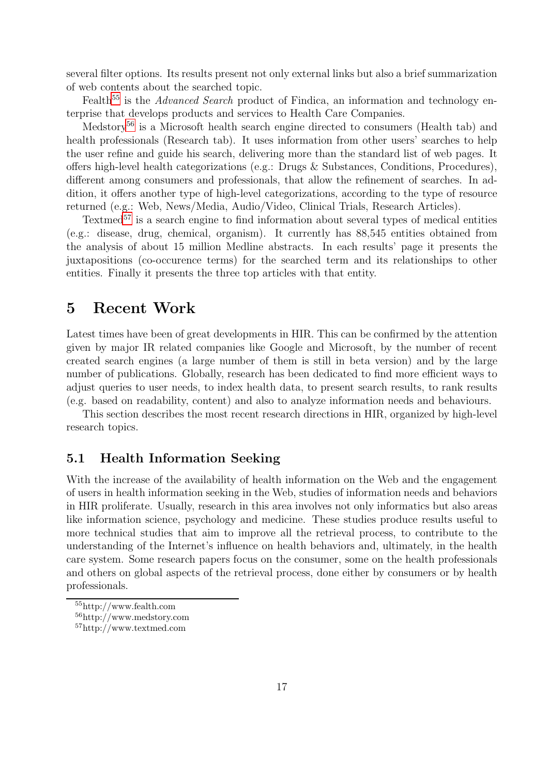several filter options. Its results present not only external links but also a brief summarization of web contents about the searched topic.

Fealth<sup>[55](#page-19-2)</sup> is the *Advanced Search* product of Findica, an information and technology enterprise that develops products and services to Health Care Companies.

Medstory<sup>[56](#page-19-3)</sup> is a Microsoft health search engine directed to consumers (Health tab) and health professionals (Research tab). It uses information from other users' searches to help the user refine and guide his search, delivering more than the standard list of web pages. It offers high-level health categorizations (e.g.: Drugs & Substances, Conditions, Procedures), different among consumers and professionals, that allow the refinement of searches. In addition, it offers another type of high-level categorizations, according to the type of resource returned (e.g.: Web, News/Media, Audio/Video, Clinical Trials, Research Articles).

Textmed $57$  is a search engine to find information about several types of medical entities (e.g.: disease, drug, chemical, organism). It currently has 88,545 entities obtained from the analysis of about 15 million Medline abstracts. In each results' page it presents the juxtapositions (co-occurence terms) for the searched term and its relationships to other entities. Finally it presents the three top articles with that entity.

# <span id="page-19-0"></span>5 Recent Work

Latest times have been of great developments in HIR. This can be confirmed by the attention given by major IR related companies like Google and Microsoft, by the number of recent created search engines (a large number of them is still in beta version) and by the large number of publications. Globally, research has been dedicated to find more efficient ways to adjust queries to user needs, to index health data, to present search results, to rank results (e.g. based on readability, content) and also to analyze information needs and behaviours.

This section describes the most recent research directions in HIR, organized by high-level research topics.

## <span id="page-19-1"></span>5.1 Health Information Seeking

With the increase of the availability of health information on the Web and the engagement of users in health information seeking in the Web, studies of information needs and behaviors in HIR proliferate. Usually, research in this area involves not only informatics but also areas like information science, psychology and medicine. These studies produce results useful to more technical studies that aim to improve all the retrieval process, to contribute to the understanding of the Internet's influence on health behaviors and, ultimately, in the health care system. Some research papers focus on the consumer, some on the health professionals and others on global aspects of the retrieval process, done either by consumers or by health professionals.

<sup>55</sup>http://www.fealth.com

<span id="page-19-2"></span><sup>56</sup>http://www.medstory.com

<span id="page-19-4"></span><span id="page-19-3"></span><sup>57</sup>http://www.textmed.com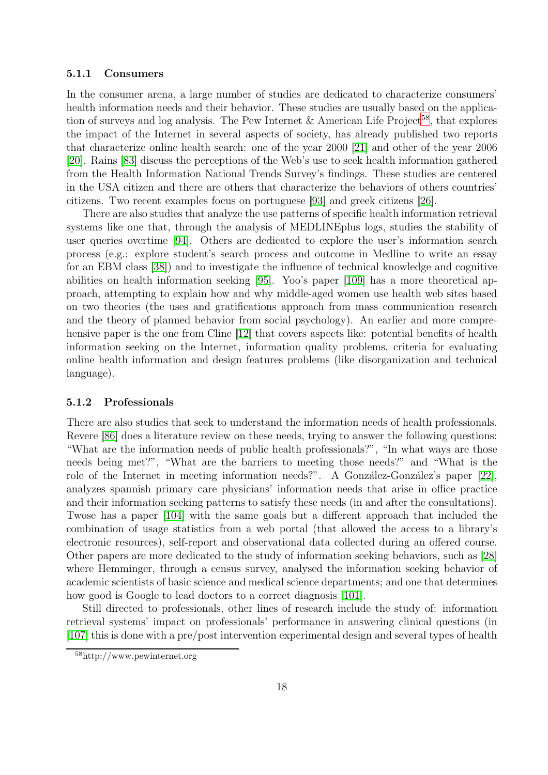#### <span id="page-20-0"></span>5.1.1 Consumers

In the consumer arena, a large number of studies are dedicated to characterize consumers' health information needs and their behavior. These studies are usually based on the application of surveys and log analysis. The Pew Internet  $&$  American Life Project<sup>[58](#page-20-2)</sup>, that explores the impact of the Internet in several aspects of society, has already published two reports that characterize online health search: one of the year 2000 [\[21\]](#page-30-5) and other of the year 2006 [\[20\]](#page-30-2). Rains [\[83\]](#page-35-6) discuss the perceptions of the Web's use to seek health information gathered from the Health Information National Trends Survey's findings. These studies are centered in the USA citizen and there are others that characterize the behaviors of others countries' citizens. Two recent examples focus on portuguese [\[93\]](#page-35-7) and greek citizens [\[26\]](#page-30-6).

There are also studies that analyze the use patterns of specific health information retrieval systems like one that, through the analysis of MEDLINEplus logs, studies the stability of user queries overtime [\[94\]](#page-36-3). Others are dedicated to explore the user's information search process (e.g.: explore student's search process and outcome in Medline to write an essay for an EBM class [\[38\]](#page-32-5)) and to investigate the influence of technical knowledge and cognitive abilities on health information seeking [\[95\]](#page-36-4). Yoo's paper [\[109\]](#page-37-1) has a more theoretical approach, attempting to explain how and why middle-aged women use health web sites based on two theories (the uses and gratifications approach from mass communication research and the theory of planned behavior from social psychology). An earlier and more compre-hensive paper is the one from Cline [\[12\]](#page-29-9) that covers aspects like: potential benefits of health information seeking on the Internet, information quality problems, criteria for evaluating online health information and design features problems (like disorganization and technical language).

#### <span id="page-20-1"></span>5.1.2 Professionals

There are also studies that seek to understand the information needs of health professionals. Revere [\[86\]](#page-35-8) does a literature review on these needs, trying to answer the following questions: "What are the information needs of public health professionals?", "In what ways are those needs being met?", "What are the barriers to meeting those needs?" and "What is the role of the Internet in meeting information needs?". A González-González's paper [\[22\]](#page-30-7), analyzes spannish primary care physicians' information needs that arise in office practice and their information seeking patterns to satisfy these needs (in and after the consultations). Twose has a paper [\[104\]](#page-36-5) with the same goals but a different approach that included the combination of usage statistics from a web portal (that allowed the access to a library's electronic resources), self-report and observational data collected during an offered course. Other papers are more dedicated to the study of information seeking behaviors, such as [\[28\]](#page-31-4) where Hemminger, through a census survey, analysed the information seeking behavior of academic scientists of basic science and medical science departments; and one that determines how good is Google to lead doctors to a correct diagnosis [\[101\]](#page-36-6).

Still directed to professionals, other lines of research include the study of: information retrieval systems' impact on professionals' performance in answering clinical questions (in [\[107\]](#page-37-2) this is done with a pre/post intervention experimental design and several types of health

<span id="page-20-2"></span><sup>58</sup>http://www.pewinternet.org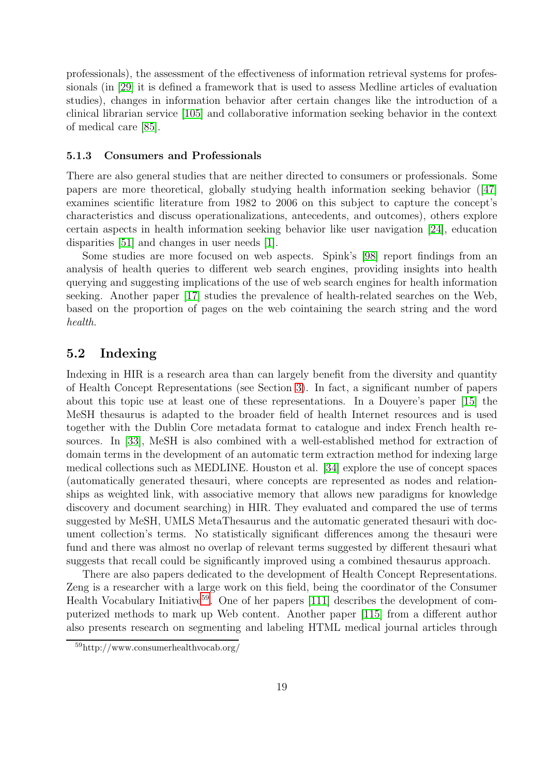professionals), the assessment of the effectiveness of information retrieval systems for professionals (in [\[29\]](#page-31-5) it is defined a framework that is used to assess Medline articles of evaluation studies), changes in information behavior after certain changes like the introduction of a clinical librarian service [\[105\]](#page-36-7) and collaborative information seeking behavior in the context of medical care [\[85\]](#page-35-9).

#### <span id="page-21-0"></span>5.1.3 Consumers and Professionals

There are also general studies that are neither directed to consumers or professionals. Some papers are more theoretical, globally studying health information seeking behavior ([\[47\]](#page-32-6) examines scientific literature from 1982 to 2006 on this subject to capture the concept's characteristics and discuss operationalizations, antecedents, and outcomes), others explore certain aspects in health information seeking behavior like user navigation [\[24\]](#page-30-8), education disparities [\[51\]](#page-33-12) and changes in user needs [\[1\]](#page-28-1).

Some studies are more focused on web aspects. Spink's [\[98\]](#page-36-8) report findings from an analysis of health queries to different web search engines, providing insights into health querying and suggesting implications of the use of web search engines for health information seeking. Another paper [\[17\]](#page-30-9) studies the prevalence of health-related searches on the Web, based on the proportion of pages on the web cointaining the search string and the word *health*.

### <span id="page-21-1"></span>5.2 Indexing

Indexing in HIR is a research area than can largely benefit from the diversity and quantity of Health Concept Representations (see Section [3\)](#page-10-0). In fact, a significant number of papers about this topic use at least one of these representations. In a Douyere's paper [\[15\]](#page-30-10) the MeSH thesaurus is adapted to the broader field of health Internet resources and is used together with the Dublin Core metadata format to catalogue and index French health resources. In [\[33\]](#page-31-6), MeSH is also combined with a well-established method for extraction of domain terms in the development of an automatic term extraction method for indexing large medical collections such as MEDLINE. Houston et al. [\[34\]](#page-31-7) explore the use of concept spaces (automatically generated thesauri, where concepts are represented as nodes and relationships as weighted link, with associative memory that allows new paradigms for knowledge discovery and document searching) in HIR. They evaluated and compared the use of terms suggested by MeSH, UMLS MetaThesaurus and the automatic generated thesauri with document collection's terms. No statistically significant differences among the thesauri were fund and there was almost no overlap of relevant terms suggested by different thesauri what suggests that recall could be significantly improved using a combined thesaurus approach.

There are also papers dedicated to the development of Health Concept Representations. Zeng is a researcher with a large work on this field, being the coordinator of the Consumer Health Vocabulary Initiative<sup>[59](#page-21-2)</sup>. One of her papers  $[111]$  describes the development of computerized methods to mark up Web content. Another paper [\[115\]](#page-37-4) from a different author also presents research on segmenting and labeling HTML medical journal articles through

<span id="page-21-2"></span><sup>59</sup>http://www.consumerhealthvocab.org/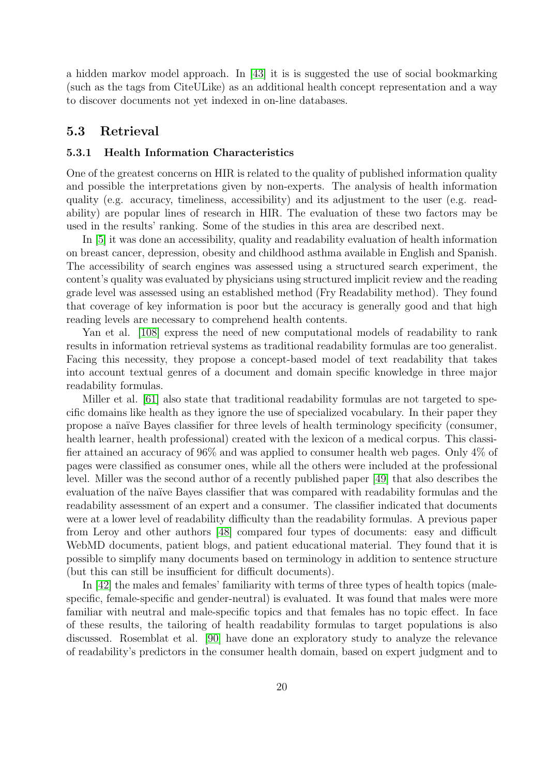a hidden markov model approach. In [\[43\]](#page-32-7) it is is suggested the use of social bookmarking (such as the tags from CiteULike) as an additional health concept representation and a way to discover documents not yet indexed in on-line databases.

### <span id="page-22-1"></span><span id="page-22-0"></span>5.3 Retrieval

#### 5.3.1 Health Information Characteristics

One of the greatest concerns on HIR is related to the quality of published information quality and possible the interpretations given by non-experts. The analysis of health information quality (e.g. accuracy, timeliness, accessibility) and its adjustment to the user (e.g. readability) are popular lines of research in HIR. The evaluation of these two factors may be used in the results' ranking. Some of the studies in this area are described next.

In [\[5\]](#page-29-10) it was done an accessibility, quality and readability evaluation of health information on breast cancer, depression, obesity and childhood asthma available in English and Spanish. The accessibility of search engines was assessed using a structured search experiment, the content's quality was evaluated by physicians using structured implicit review and the reading grade level was assessed using an established method (Fry Readability method). They found that coverage of key information is poor but the accuracy is generally good and that high reading levels are necessary to comprehend health contents.

Yan et al. [\[108\]](#page-37-5) express the need of new computational models of readability to rank results in information retrieval systems as traditional readability formulas are too generalist. Facing this necessity, they propose a concept-based model of text readability that takes into account textual genres of a document and domain specific knowledge in three major readability formulas.

Miller et al. [\[61\]](#page-33-13) also state that traditional readability formulas are not targeted to specific domains like health as they ignore the use of specialized vocabulary. In their paper they propose a na¨ıve Bayes classifier for three levels of health terminology specificity (consumer, health learner, health professional) created with the lexicon of a medical corpus. This classifier attained an accuracy of 96% and was applied to consumer health web pages. Only 4% of pages were classified as consumer ones, while all the others were included at the professional level. Miller was the second author of a recently published paper [\[49\]](#page-32-8) that also describes the evaluation of the naïve Bayes classifier that was compared with readability formulas and the readability assessment of an expert and a consumer. The classifier indicated that documents were at a lower level of readability difficulty than the readability formulas. A previous paper from Leroy and other authors [\[48\]](#page-32-9) compared four types of documents: easy and difficult WebMD documents, patient blogs, and patient educational material. They found that it is possible to simplify many documents based on terminology in addition to sentence structure (but this can still be insufficient for difficult documents).

In [\[42\]](#page-32-10) the males and females' familiarity with terms of three types of health topics (malespecific, female-specific and gender-neutral) is evaluated. It was found that males were more familiar with neutral and male-specific topics and that females has no topic effect. In face of these results, the tailoring of health readability formulas to target populations is also discussed. Rosemblat et al. [\[90\]](#page-35-10) have done an exploratory study to analyze the relevance of readability's predictors in the consumer health domain, based on expert judgment and to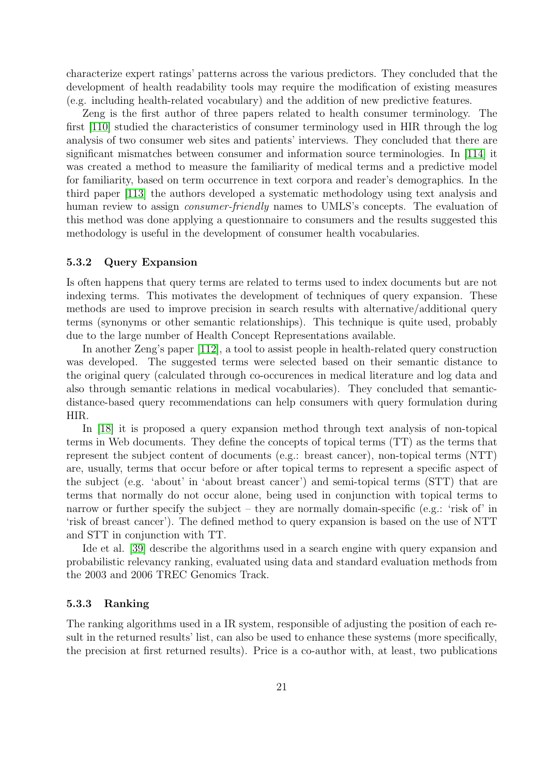characterize expert ratings' patterns across the various predictors. They concluded that the development of health readability tools may require the modification of existing measures (e.g. including health-related vocabulary) and the addition of new predictive features.

Zeng is the first author of three papers related to health consumer terminology. The first [\[110\]](#page-37-6) studied the characteristics of consumer terminology used in HIR through the log analysis of two consumer web sites and patients' interviews. They concluded that there are significant mismatches between consumer and information source terminologies. In [\[114\]](#page-37-7) it was created a method to measure the familiarity of medical terms and a predictive model for familiarity, based on term occurrence in text corpora and reader's demographics. In the third paper [\[113\]](#page-37-8) the authors developed a systematic methodology using text analysis and human review to assign *consumer-friendly* names to UMLS's concepts. The evaluation of this method was done applying a questionnaire to consumers and the results suggested this methodology is useful in the development of consumer health vocabularies.

#### <span id="page-23-0"></span>5.3.2 Query Expansion

Is often happens that query terms are related to terms used to index documents but are not indexing terms. This motivates the development of techniques of query expansion. These methods are used to improve precision in search results with alternative/additional query terms (synonyms or other semantic relationships). This technique is quite used, probably due to the large number of Health Concept Representations available.

In another Zeng's paper [\[112\]](#page-37-9), a tool to assist people in health-related query construction was developed. The suggested terms were selected based on their semantic distance to the original query (calculated through co-occurences in medical literature and log data and also through semantic relations in medical vocabularies). They concluded that semanticdistance-based query recommendations can help consumers with query formulation during HIR.

In [\[18\]](#page-30-11) it is proposed a query expansion method through text analysis of non-topical terms in Web documents. They define the concepts of topical terms (TT) as the terms that represent the subject content of documents (e.g.: breast cancer), non-topical terms (NTT) are, usually, terms that occur before or after topical terms to represent a specific aspect of the subject (e.g. 'about' in 'about breast cancer') and semi-topical terms (STT) that are terms that normally do not occur alone, being used in conjunction with topical terms to narrow or further specify the subject – they are normally domain-specific (e.g.: 'risk of' in 'risk of breast cancer'). The defined method to query expansion is based on the use of NTT and STT in conjunction with TT.

Ide et al. [\[39\]](#page-32-11) describe the algorithms used in a search engine with query expansion and probabilistic relevancy ranking, evaluated using data and standard evaluation methods from the 2003 and 2006 TREC Genomics Track.

#### <span id="page-23-1"></span>5.3.3 Ranking

The ranking algorithms used in a IR system, responsible of adjusting the position of each result in the returned results' list, can also be used to enhance these systems (more specifically, the precision at first returned results). Price is a co-author with, at least, two publications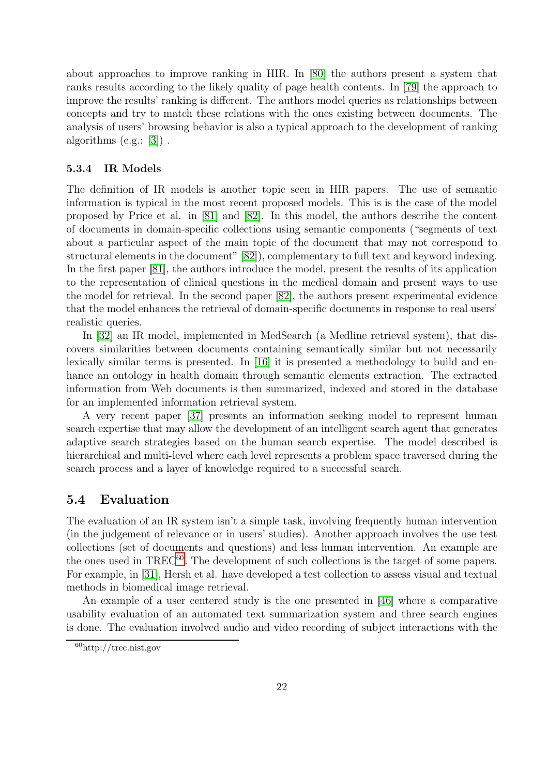about approaches to improve ranking in HIR. In [\[80\]](#page-34-14) the authors present a system that ranks results according to the likely quality of page health contents. In [\[79\]](#page-34-15) the approach to improve the results' ranking is different. The authors model queries as relationships between concepts and try to match these relations with the ones existing between documents. The analysis of users' browsing behavior is also a typical approach to the development of ranking algorithms (e.g.: [\[3\]](#page-29-11)) .

#### <span id="page-24-0"></span>5.3.4 IR Models

The definition of IR models is another topic seen in HIR papers. The use of semantic information is typical in the most recent proposed models. This is is the case of the model proposed by Price et al. in [\[81\]](#page-35-11) and [\[82\]](#page-35-12). In this model, the authors describe the content of documents in domain-specific collections using semantic components ("segments of text about a particular aspect of the main topic of the document that may not correspond to structural elements in the document" [\[82\]](#page-35-12)), complementary to full text and keyword indexing. In the first paper [\[81\]](#page-35-11), the authors introduce the model, present the results of its application to the representation of clinical questions in the medical domain and present ways to use the model for retrieval. In the second paper [\[82\]](#page-35-12), the authors present experimental evidence that the model enhances the retrieval of domain-specific documents in response to real users' realistic queries.

In [\[32\]](#page-31-8) an IR model, implemented in MedSearch (a Medline retrieval system), that discovers similarities between documents containing semantically similar but not necessarily lexically similar terms is presented. In [\[16\]](#page-30-12) it is presented a methodology to build and enhance an ontology in health domain through semantic elements extraction. The extracted information from Web documents is then summarized, indexed and stored in the database for an implemented information retrieval system.

A very recent paper [\[37\]](#page-31-9) presents an information seeking model to represent human search expertise that may allow the development of an intelligent search agent that generates adaptive search strategies based on the human search expertise. The model described is hierarchical and multi-level where each level represents a problem space traversed during the search process and a layer of knowledge required to a successful search.

### <span id="page-24-1"></span>5.4 Evaluation

The evaluation of an IR system isn't a simple task, involving frequently human intervention (in the judgement of relevance or in users' studies). Another approach involves the use test collections (set of documents and questions) and less human intervention. An example are the ones used in TREC<sup>[60](#page-24-2)</sup>. The development of such collections is the target of some papers. For example, in [\[31\]](#page-31-10), Hersh et al. have developed a test collection to assess visual and textual methods in biomedical image retrieval.

An example of a user centered study is the one presented in [\[46\]](#page-32-12) where a comparative usability evaluation of an automated text summarization system and three search engines is done. The evaluation involved audio and video recording of subject interactions with the

<span id="page-24-2"></span><sup>60</sup>http://trec.nist.gov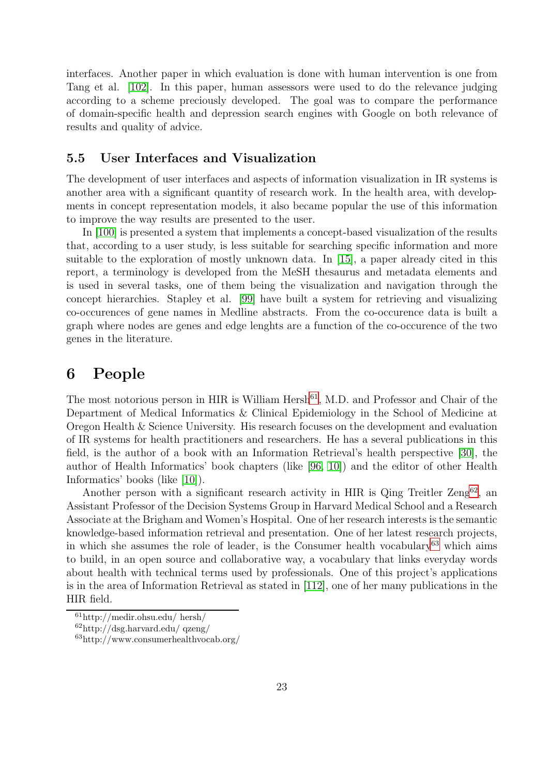interfaces. Another paper in which evaluation is done with human intervention is one from Tang et al. [\[102\]](#page-36-9). In this paper, human assessors were used to do the relevance judging according to a scheme preciously developed. The goal was to compare the performance of domain-specific health and depression search engines with Google on both relevance of results and quality of advice.

### <span id="page-25-0"></span>5.5 User Interfaces and Visualization

The development of user interfaces and aspects of information visualization in IR systems is another area with a significant quantity of research work. In the health area, with developments in concept representation models, it also became popular the use of this information to improve the way results are presented to the user.

In [\[100\]](#page-36-10) is presented a system that implements a concept-based visualization of the results that, according to a user study, is less suitable for searching specific information and more suitable to the exploration of mostly unknown data. In [\[15\]](#page-30-10), a paper already cited in this report, a terminology is developed from the MeSH thesaurus and metadata elements and is used in several tasks, one of them being the visualization and navigation through the concept hierarchies. Stapley et al. [\[99\]](#page-36-11) have built a system for retrieving and visualizing co-occurences of gene names in Medline abstracts. From the co-occurence data is built a graph where nodes are genes and edge lenghts are a function of the co-occurence of the two genes in the literature.

# <span id="page-25-1"></span>6 People

The most notorious person in HIR is William Hersh<sup>[61](#page-25-2)</sup>, M.D. and Professor and Chair of the Department of Medical Informatics & Clinical Epidemiology in the School of Medicine at Oregon Health & Science University. His research focuses on the development and evaluation of IR systems for health practitioners and researchers. He has a several publications in this field, is the author of a book with an Information Retrieval's health perspective [\[30\]](#page-31-1), the author of Health Informatics' book chapters (like [\[96,](#page-36-1) [10\]](#page-29-8)) and the editor of other Health Informatics' books (like [\[10\]](#page-29-8)).

Another person with a significant research activity in HIR is Qing Treitler  $\rm{Zeng}^{62}$  $\rm{Zeng}^{62}$  $\rm{Zeng}^{62}$ , an Assistant Professor of the Decision Systems Group in Harvard Medical School and a Research Associate at the Brigham and Women's Hospital. One of her research interests is the semantic knowledge-based information retrieval and presentation. One of her latest research projects, in which she assumes the role of leader, is the Consumer health vocabulary<sup>[63](#page-25-4)</sup> which aims to build, in an open source and collaborative way, a vocabulary that links everyday words about health with technical terms used by professionals. One of this project's applications is in the area of Information Retrieval as stated in [\[112\]](#page-37-9), one of her many publications in the HIR field.

 $61$ http://medir.ohsu.edu/ hersh/

<span id="page-25-2"></span> $62$ http://dsg.harvard.edu/ qzeng/

<span id="page-25-4"></span><span id="page-25-3"></span><sup>63</sup>http://www.consumerhealthvocab.org/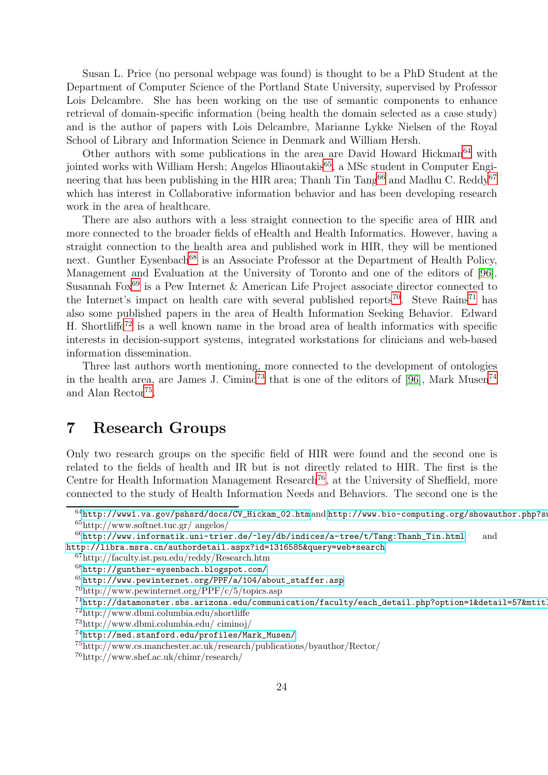Susan L. Price (no personal webpage was found) is thought to be a PhD Student at the Department of Computer Science of the Portland State University, supervised by Professor Lois Delcambre. She has been working on the use of semantic components to enhance retrieval of domain-specific information (being health the domain selected as a case study) and is the author of papers with Lois Delcambre, Marianne Lykke Nielsen of the Royal School of Library and Information Science in Denmark and William Hersh.

Other authors with some publications in the area are David Howard Hickman<sup>[64](#page-26-1)</sup> with jointed works with William Hersh; Angelos Hliaoutakis<sup>[65](#page-26-2)</sup>, a MSc student in Computer Engineering that has been publishing in the HIR area; Thanh Tin  $\text{Tang}^{66}$  $\text{Tang}^{66}$  $\text{Tang}^{66}$  and Madhu C. Reddy<sup>[67](#page-26-4)</sup> which has interest in Collaborative information behavior and has been developing research work in the area of healthcare.

There are also authors with a less straight connection to the specific area of HIR and more connected to the broader fields of eHealth and Health Informatics. However, having a straight connection to the health area and published work in HIR, they will be mentioned next. Gunther Eysenbach<sup>[68](#page-26-5)</sup> is an Associate Professor at the Department of Health Policy, Management and Evaluation at the University of Toronto and one of the editors of [\[96\]](#page-36-1). Susannah Fox<sup>[69](#page-26-6)</sup> is a Pew Internet & American Life Project associate director connected to the Internet's impact on health care with several published reports<sup>[70](#page-26-7)</sup>. Steve Rains<sup>[71](#page-26-8)</sup> has also some published papers in the area of Health Information Seeking Behavior. Edward H. Shortliffe<sup>[72](#page-26-9)</sup> is a well known name in the broad area of health informatics with specific interests in decision-support systems, integrated workstations for clinicians and web-based information dissemination.

Three last authors worth mentioning, more connected to the development of ontologies in the health area, are James J. Cimino<sup>[73](#page-26-10)</sup> that is one of the editors of [\[96\]](#page-36-1), Mark Musen<sup>[74](#page-26-11)</sup> and Alan Rector<sup>[75](#page-26-12)</sup>.

# <span id="page-26-0"></span>7 Research Groups

Only two research groups on the specific field of HIR were found and the second one is related to the fields of health and IR but is not directly related to HIR. The first is the Centre for Health Information Management Research<sup>[76](#page-26-13)</sup>, at the University of Sheffield, more connected to the study of Health Information Needs and Behaviors. The second one is the

<span id="page-26-1"></span> $^{64}$ [http://www1.va.gov/pshsrd/docs/CV\\_Hickam\\_02.htm](http://www1.va.gov/pshsrd/docs/CV_Hickam_02.htm) and http://www.bio-computing.org/showauthor.php?su <sup>65</sup>http://www.softnet.tuc.gr/ angelos/

<span id="page-26-2"></span> $^{66}$ [http://www.informatik.uni-trier.de/~ley/db/indices/a-tree/t/Tang:Thanh\\_Tin.html](http://www.informatik.uni-trier.de/~ley/db/indices/a-tree/t/Tang:Thanh_Tin.html) and <http://libra.msra.cn/authordetail.aspx?id=1316585&query=web+search>

<span id="page-26-3"></span><sup>67</sup>http://faculty.ist.psu.edu/reddy/Research.htm

<span id="page-26-4"></span><sup>68</sup><http://gunther-eysenbach.blogspot.com/>

<span id="page-26-5"></span> $^{69}$ [http://www.pewinternet.org/PPF/a/104/about\\_staffer.asp](http://www.pewinternet.org/PPF/a/104/about_staffer.asp)

<span id="page-26-6"></span><sup>70</sup>http://www.pewinternet.org/PPF/c/5/topics.asp

<span id="page-26-7"></span> $71$ http://datamonster.sbs.arizona.edu/communication/faculty/each\_detail.php?option=1&detail=57&mtitle=Core

<span id="page-26-8"></span><sup>72</sup>http://www.dbmi.columbia.edu/shortliffe

<span id="page-26-9"></span><sup>73</sup>http://www.dbmi.columbia.edu/ ciminoj/

<span id="page-26-10"></span><sup>74</sup>[http://med.stanford.edu/profiles/Mark\\_Musen/](http://med.stanford.edu/profiles/Mark_Musen/)

<span id="page-26-11"></span><sup>75</sup>http://www.cs.manchester.ac.uk/research/publications/byauthor/Rector/

<span id="page-26-13"></span><span id="page-26-12"></span><sup>76</sup>http://www.shef.ac.uk/chimr/research/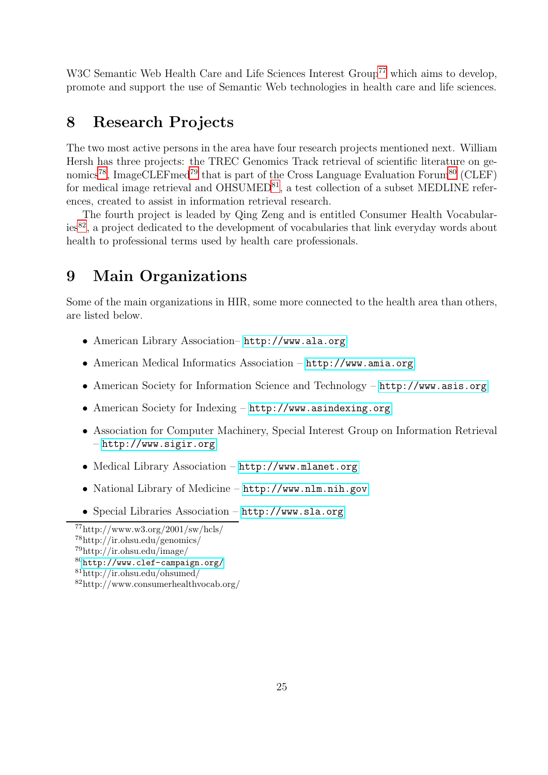W3C Semantic Web Health Care and Life Sciences Interest Group<sup>[77](#page-27-2)</sup> which aims to develop, promote and support the use of Semantic Web technologies in health care and life sciences.

# <span id="page-27-0"></span>8 Research Projects

The two most active persons in the area have four research projects mentioned next. William Hersh has three projects: the TREC Genomics Track retrieval of scientific literature on ge-nomics<sup>[78](#page-27-3)</sup>, ImageCLEFmed<sup>[79](#page-27-4)</sup> that is part of the Cross Language Evaluation Forum<sup>[80](#page-27-5)</sup> (CLEF) for medical image retrieval and  $OHSUMED^{81}$  $OHSUMED^{81}$  $OHSUMED^{81}$ , a test collection of a subset MEDLINE references, created to assist in information retrieval research.

The fourth project is leaded by Qing Zeng and is entitled Consumer Health Vocabularies[82](#page-27-7), a project dedicated to the development of vocabularies that link everyday words about health to professional terms used by health care professionals.

# <span id="page-27-1"></span>9 Main Organizations

Some of the main organizations in HIR, some more connected to the health area than others, are listed below.

- American Library Association– <http://www.ala.org>
- American Medical Informatics Association <http://www.amia.org>
- American Society for Information Science and Technology <http://www.asis.org>
- American Society for Indexing <http://www.asindexing.org>
- Association for Computer Machinery, Special Interest Group on Information Retrieval – <http://www.sigir.org>
- Medical Library Association <http://www.mlanet.org>
- National Library of Medicine <http://www.nlm.nih.gov>
- Special Libraries Association <http://www.sla.org>

 $^{77}$ http://www.w3.org/2001/sw/hcls/

<span id="page-27-2"></span><sup>78</sup>http://ir.ohsu.edu/genomics/

<span id="page-27-3"></span><sup>79</sup>http://ir.ohsu.edu/image/

<span id="page-27-4"></span><sup>80</sup><http://www.clef-campaign.org/>

<span id="page-27-5"></span><sup>81</sup>http://ir.ohsu.edu/ohsumed/

<span id="page-27-7"></span><span id="page-27-6"></span><sup>82</sup>http://www.consumerhealthvocab.org/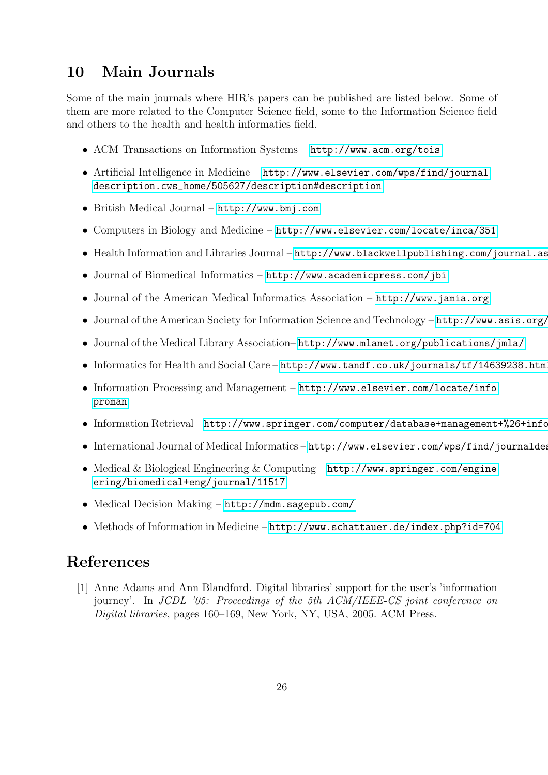# <span id="page-28-0"></span>10 Main Journals

Some of the main journals where HIR's papers can be published are listed below. Some of them are more related to the Computer Science field, some to the Information Science field and others to the health and health informatics field.

- ACM Transactions on Information Systems <http://www.acm.org/tois>
- Artificial Intelligence in Medicine <http://www.elsevier.com/wps/find/journal> [description.cws\\_home/505627/description#description](description.cws_home/505627/description#description)
- British Medical Journal <http://www.bmj.com>
- Computers in Biology and Medicine <http://www.elsevier.com/locate/inca/351>
- Health Information and Libraries Journal http://www.blackwellpublishing.com/journal.as
- Journal of Biomedical Informatics <http://www.academicpress.com/jbi>
- Journal of the American Medical Informatics Association <http://www.jamia.org>
- Journal of the American Society for Information Science and Technology  $http://www.asis.org/$
- Journal of the Medical Library Association– <http://www.mlanet.org/publications/jmla/>
- Informatics for Health and Social Care <http://www.tandf.co.uk/journals/tf/14639238.html>
- Information Processing and Management <http://www.elsevier.com/locate/info> <proman>
- Information Retrieval http://www.springer.com/computer/database+management+%26+info
- International Journal of Medical Informatics http://www.elsevier.com/wps/find/journaldes
- Medical & Biological Engineering & Computing <http://www.springer.com/engine> <ering/biomedical+eng/journal/11517>
- Medical Decision Making <http://mdm.sagepub.com/>
- Methods of Information in Medicine <http://www.schattauer.de/index.php?id=704>

# <span id="page-28-1"></span>References

[1] Anne Adams and Ann Blandford. Digital libraries' support for the user's 'information journey'. In *JCDL '05: Proceedings of the 5th ACM/IEEE-CS joint conference on Digital libraries*, pages 160–169, New York, NY, USA, 2005. ACM Press.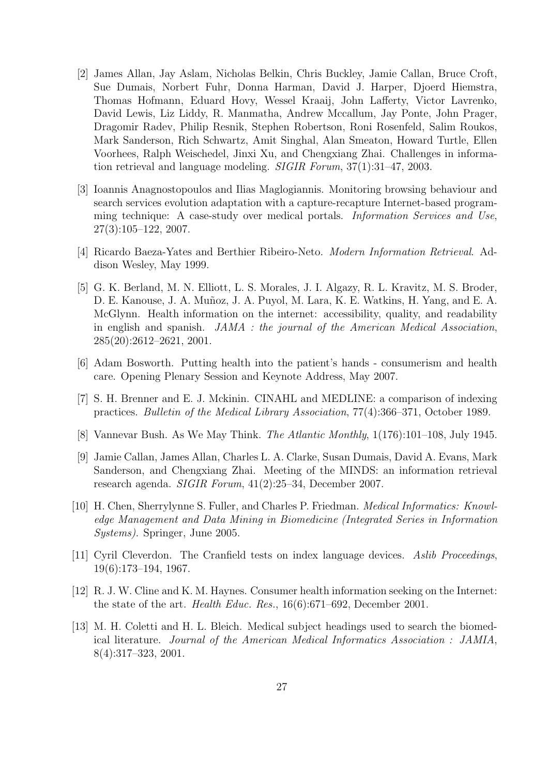- <span id="page-29-1"></span>[2] James Allan, Jay Aslam, Nicholas Belkin, Chris Buckley, Jamie Callan, Bruce Croft, Sue Dumais, Norbert Fuhr, Donna Harman, David J. Harper, Djoerd Hiemstra, Thomas Hofmann, Eduard Hovy, Wessel Kraaij, John Lafferty, Victor Lavrenko, David Lewis, Liz Liddy, R. Manmatha, Andrew Mccallum, Jay Ponte, John Prager, Dragomir Radev, Philip Resnik, Stephen Robertson, Roni Rosenfeld, Salim Roukos, Mark Sanderson, Rich Schwartz, Amit Singhal, Alan Smeaton, Howard Turtle, Ellen Voorhees, Ralph Weischedel, Jinxi Xu, and Chengxiang Zhai. Challenges in information retrieval and language modeling. *SIGIR Forum*, 37(1):31–47, 2003.
- <span id="page-29-11"></span>[3] Ioannis Anagnostopoulos and Ilias Maglogiannis. Monitoring browsing behaviour and search services evolution adaptation with a capture-recapture Internet-based programming technique: A case-study over medical portals. *Information Services and Use*, 27(3):105–122, 2007.
- <span id="page-29-10"></span><span id="page-29-0"></span>[4] Ricardo Baeza-Yates and Berthier Ribeiro-Neto. *Modern Information Retrieval*. Addison Wesley, May 1999.
- [5] G. K. Berland, M. N. Elliott, L. S. Morales, J. I. Algazy, R. L. Kravitz, M. S. Broder, D. E. Kanouse, J. A. Muñoz, J. A. Puyol, M. Lara, K. E. Watkins, H. Yang, and E. A. McGlynn. Health information on the internet: accessibility, quality, and readability in english and spanish. *JAMA : the journal of the American Medical Association*, 285(20):2612–2621, 2001.
- <span id="page-29-7"></span><span id="page-29-5"></span>[6] Adam Bosworth. Putting health into the patient's hands - consumerism and health care. Opening Plenary Session and Keynote Address, May 2007.
- [7] S. H. Brenner and E. J. Mckinin. CINAHL and MEDLINE: a comparison of indexing practices. *Bulletin of the Medical Library Association*, 77(4):366–371, October 1989.
- <span id="page-29-4"></span><span id="page-29-2"></span>[8] Vannevar Bush. As We May Think. *The Atlantic Monthly*, 1(176):101–108, July 1945.
- [9] Jamie Callan, James Allan, Charles L. A. Clarke, Susan Dumais, David A. Evans, Mark Sanderson, and Chengxiang Zhai. Meeting of the MINDS: an information retrieval research agenda. *SIGIR Forum*, 41(2):25–34, December 2007.
- <span id="page-29-8"></span>[10] H. Chen, Sherrylynne S. Fuller, and Charles P. Friedman. *Medical Informatics: Knowledge Management and Data Mining in Biomedicine (Integrated Series in Information Systems)*. Springer, June 2005.
- <span id="page-29-3"></span>[11] Cyril Cleverdon. The Cranfield tests on index language devices. *Aslib Proceedings*, 19(6):173–194, 1967.
- <span id="page-29-9"></span>[12] R. J. W. Cline and K. M. Haynes. Consumer health information seeking on the Internet: the state of the art. *Health Educ. Res.*, 16(6):671–692, December 2001.
- <span id="page-29-6"></span>[13] M. H. Coletti and H. L. Bleich. Medical subject headings used to search the biomedical literature. *Journal of the American Medical Informatics Association : JAMIA*, 8(4):317–323, 2001.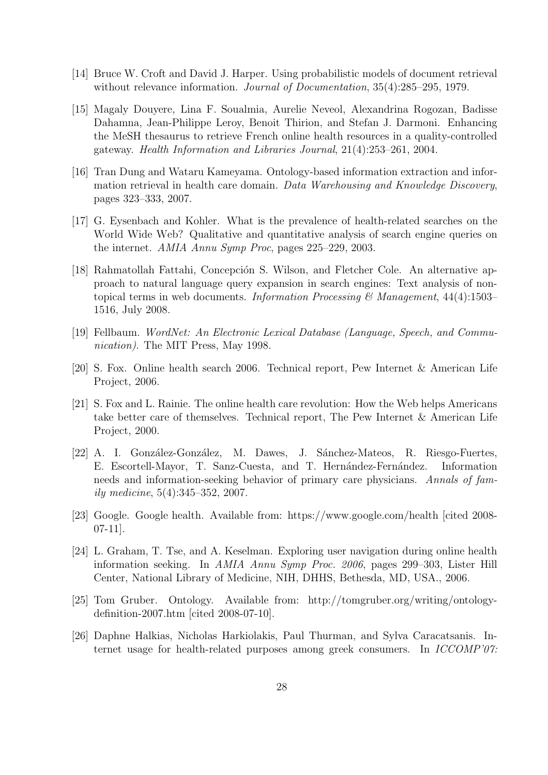- <span id="page-30-10"></span><span id="page-30-0"></span>[14] Bruce W. Croft and David J. Harper. Using probabilistic models of document retrieval without relevance information. *Journal of Documentation*, 35(4):285–295, 1979.
- [15] Magaly Douyere, Lina F. Soualmia, Aurelie Neveol, Alexandrina Rogozan, Badisse Dahamna, Jean-Philippe Leroy, Benoit Thirion, and Stefan J. Darmoni. Enhancing the MeSH thesaurus to retrieve French online health resources in a quality-controlled gateway. *Health Information and Libraries Journal*, 21(4):253–261, 2004.
- <span id="page-30-12"></span>[16] Tran Dung and Wataru Kameyama. Ontology-based information extraction and information retrieval in health care domain. *Data Warehousing and Knowledge Discovery*, pages 323–333, 2007.
- <span id="page-30-9"></span>[17] G. Eysenbach and Kohler. What is the prevalence of health-related searches on the World Wide Web? Qualitative and quantitative analysis of search engine queries on the internet. *AMIA Annu Symp Proc*, pages 225–229, 2003.
- <span id="page-30-11"></span>[18] Rahmatollah Fattahi, Concepción S. Wilson, and Fletcher Cole. An alternative approach to natural language query expansion in search engines: Text analysis of nontopical terms in web documents. *Information Processing & Management*, 44(4):1503– 1516, July 2008.
- <span id="page-30-4"></span><span id="page-30-2"></span>[19] Fellbaum. *WordNet: An Electronic Lexical Database (Language, Speech, and Communication)*. The MIT Press, May 1998.
- <span id="page-30-5"></span>[20] S. Fox. Online health search 2006. Technical report, Pew Internet & American Life Project, 2006.
- [21] S. Fox and L. Rainie. The online health care revolution: How the Web helps Americans take better care of themselves. Technical report, The Pew Internet & American Life Project, 2000.
- <span id="page-30-7"></span>[22] A. I. González-González, M. Dawes, J. Sánchez-Mateos, R. Riesgo-Fuertes, E. Escortell-Mayor, T. Sanz-Cuesta, and T. Hernández-Fernández. Information needs and information-seeking behavior of primary care physicians. *Annals of family medicine*, 5(4):345–352, 2007.
- <span id="page-30-1"></span>[23] Google. Google health. Available from: https://www.google.com/health [cited 2008- 07-11].
- <span id="page-30-8"></span>[24] L. Graham, T. Tse, and A. Keselman. Exploring user navigation during online health information seeking. In *AMIA Annu Symp Proc. 2006*, pages 299–303, Lister Hill Center, National Library of Medicine, NIH, DHHS, Bethesda, MD, USA., 2006.
- <span id="page-30-3"></span>[25] Tom Gruber. Ontology. Available from: http://tomgruber.org/writing/ontologydefinition-2007.htm [cited 2008-07-10].
- <span id="page-30-6"></span>[26] Daphne Halkias, Nicholas Harkiolakis, Paul Thurman, and Sylva Caracatsanis. Internet usage for health-related purposes among greek consumers. In *ICCOMP'07:*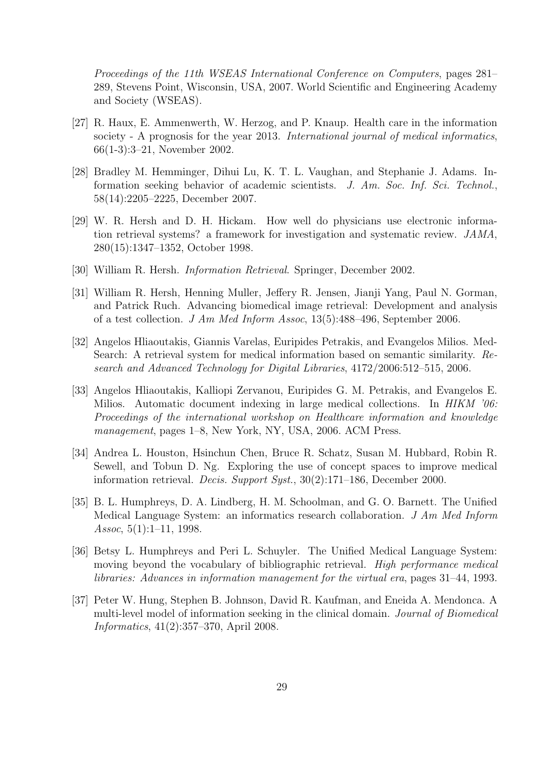*Proceedings of the 11th WSEAS International Conference on Computers*, pages 281– 289, Stevens Point, Wisconsin, USA, 2007. World Scientific and Engineering Academy and Society (WSEAS).

- <span id="page-31-0"></span>[27] R. Haux, E. Ammenwerth, W. Herzog, and P. Knaup. Health care in the information society - A prognosis for the year 2013. *International journal of medical informatics*, 66(1-3):3–21, November 2002.
- <span id="page-31-4"></span>[28] Bradley M. Hemminger, Dihui Lu, K. T. L. Vaughan, and Stephanie J. Adams. Information seeking behavior of academic scientists. *J. Am. Soc. Inf. Sci. Technol.*, 58(14):2205–2225, December 2007.
- <span id="page-31-5"></span>[29] W. R. Hersh and D. H. Hickam. How well do physicians use electronic information retrieval systems? a framework for investigation and systematic review. *JAMA*, 280(15):1347–1352, October 1998.
- <span id="page-31-10"></span><span id="page-31-1"></span>[30] William R. Hersh. *Information Retrieval*. Springer, December 2002.
- [31] William R. Hersh, Henning Muller, Jeffery R. Jensen, Jianji Yang, Paul N. Gorman, and Patrick Ruch. Advancing biomedical image retrieval: Development and analysis of a test collection. *J Am Med Inform Assoc*, 13(5):488–496, September 2006.
- <span id="page-31-8"></span>[32] Angelos Hliaoutakis, Giannis Varelas, Euripides Petrakis, and Evangelos Milios. Med-Search: A retrieval system for medical information based on semantic similarity. *Research and Advanced Technology for Digital Libraries*, 4172/2006:512–515, 2006.
- <span id="page-31-6"></span>[33] Angelos Hliaoutakis, Kalliopi Zervanou, Euripides G. M. Petrakis, and Evangelos E. Milios. Automatic document indexing in large medical collections. In *HIKM '06: Proceedings of the international workshop on Healthcare information and knowledge management*, pages 1–8, New York, NY, USA, 2006. ACM Press.
- <span id="page-31-7"></span>[34] Andrea L. Houston, Hsinchun Chen, Bruce R. Schatz, Susan M. Hubbard, Robin R. Sewell, and Tobun D. Ng. Exploring the use of concept spaces to improve medical information retrieval. *Decis. Support Syst.*, 30(2):171–186, December 2000.
- <span id="page-31-2"></span>[35] B. L. Humphreys, D. A. Lindberg, H. M. Schoolman, and G. O. Barnett. The Unified Medical Language System: an informatics research collaboration. *J Am Med Inform Assoc*, 5(1):1–11, 1998.
- <span id="page-31-3"></span>[36] Betsy L. Humphreys and Peri L. Schuyler. The Unified Medical Language System: moving beyond the vocabulary of bibliographic retrieval. *High performance medical libraries: Advances in information management for the virtual era*, pages 31–44, 1993.
- <span id="page-31-9"></span>[37] Peter W. Hung, Stephen B. Johnson, David R. Kaufman, and Eneida A. Mendonca. A multi-level model of information seeking in the clinical domain. *Journal of Biomedical Informatics*, 41(2):357–370, April 2008.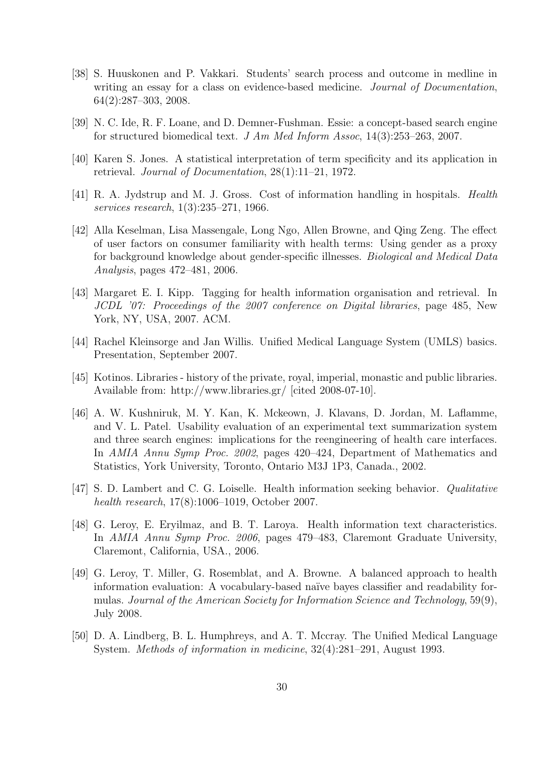- <span id="page-32-5"></span>[38] S. Huuskonen and P. Vakkari. Students' search process and outcome in medline in writing an essay for a class on evidence-based medicine. *Journal of Documentation*, 64(2):287–303, 2008.
- <span id="page-32-11"></span><span id="page-32-1"></span>[39] N. C. Ide, R. F. Loane, and D. Demner-Fushman. Essie: a concept-based search engine for structured biomedical text. *J Am Med Inform Assoc*, 14(3):253–263, 2007.
- <span id="page-32-2"></span>[40] Karen S. Jones. A statistical interpretation of term specificity and its application in retrieval. *Journal of Documentation*, 28(1):11–21, 1972.
- <span id="page-32-10"></span>[41] R. A. Jydstrup and M. J. Gross. Cost of information handling in hospitals. *Health services research*, 1(3):235–271, 1966.
- [42] Alla Keselman, Lisa Massengale, Long Ngo, Allen Browne, and Qing Zeng. The effect of user factors on consumer familiarity with health terms: Using gender as a proxy for background knowledge about gender-specific illnesses. *Biological and Medical Data Analysis*, pages 472–481, 2006.
- <span id="page-32-7"></span>[43] Margaret E. I. Kipp. Tagging for health information organisation and retrieval. In *JCDL '07: Proceedings of the 2007 conference on Digital libraries*, page 485, New York, NY, USA, 2007. ACM.
- <span id="page-32-4"></span><span id="page-32-0"></span>[44] Rachel Kleinsorge and Jan Willis. Unified Medical Language System (UMLS) basics. Presentation, September 2007.
- [45] Kotinos. Libraries history of the private, royal, imperial, monastic and public libraries. Available from: http://www.libraries.gr/ [cited 2008-07-10].
- <span id="page-32-12"></span>[46] A. W. Kushniruk, M. Y. Kan, K. Mckeown, J. Klavans, D. Jordan, M. Laflamme, and V. L. Patel. Usability evaluation of an experimental text summarization system and three search engines: implications for the reengineering of health care interfaces. In *AMIA Annu Symp Proc. 2002*, pages 420–424, Department of Mathematics and Statistics, York University, Toronto, Ontario M3J 1P3, Canada., 2002.
- <span id="page-32-6"></span>[47] S. D. Lambert and C. G. Loiselle. Health information seeking behavior. *Qualitative health research*, 17(8):1006–1019, October 2007.
- <span id="page-32-9"></span>[48] G. Leroy, E. Eryilmaz, and B. T. Laroya. Health information text characteristics. In *AMIA Annu Symp Proc. 2006*, pages 479–483, Claremont Graduate University, Claremont, California, USA., 2006.
- <span id="page-32-8"></span>[49] G. Leroy, T. Miller, G. Rosemblat, and A. Browne. A balanced approach to health information evaluation: A vocabulary-based naïve bayes classifier and readability formulas. *Journal of the American Society for Information Science and Technology*, 59(9), July 2008.
- <span id="page-32-3"></span>[50] D. A. Lindberg, B. L. Humphreys, and A. T. Mccray. The Unified Medical Language System. *Methods of information in medicine*, 32(4):281–291, August 1993.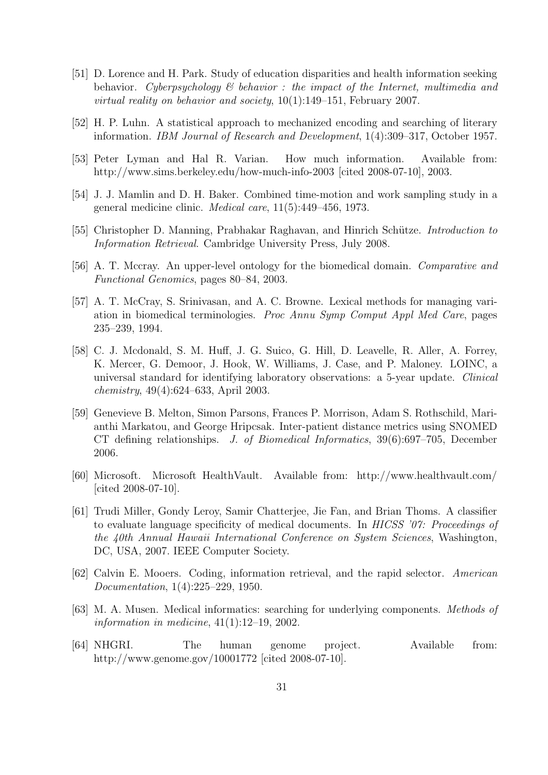- <span id="page-33-12"></span>[51] D. Lorence and H. Park. Study of education disparities and health information seeking behavior. *Cyberpsychology & behavior : the impact of the Internet, multimedia and virtual reality on behavior and society*, 10(1):149–151, February 2007.
- <span id="page-33-3"></span><span id="page-33-2"></span>[52] H. P. Luhn. A statistical approach to mechanized encoding and searching of literary information. *IBM Journal of Research and Development*, 1(4):309–317, October 1957.
- <span id="page-33-5"></span>[53] Peter Lyman and Hal R. Varian. How much information. Available from: http://www.sims.berkeley.edu/how-much-info-2003 [cited 2008-07-10], 2003.
- <span id="page-33-0"></span>[54] J. J. Mamlin and D. H. Baker. Combined time-motion and work sampling study in a general medicine clinic. *Medical care*, 11(5):449–456, 1973.
- <span id="page-33-10"></span>[55] Christopher D. Manning, Prabhakar Raghavan, and Hinrich Sch¨utze. *Introduction to Information Retrieval*. Cambridge University Press, July 2008.
- <span id="page-33-8"></span>[56] A. T. Mccray. An upper-level ontology for the biomedical domain. *Comparative and Functional Genomics*, pages 80–84, 2003.
- [57] A. T. McCray, S. Srinivasan, and A. C. Browne. Lexical methods for managing variation in biomedical terminologies. *Proc Annu Symp Comput Appl Med Care*, pages 235–239, 1994.
- <span id="page-33-7"></span>[58] C. J. Mcdonald, S. M. Huff, J. G. Suico, G. Hill, D. Leavelle, R. Aller, A. Forrey, K. Mercer, G. Demoor, J. Hook, W. Williams, J. Case, and P. Maloney. LOINC, a universal standard for identifying laboratory observations: a 5-year update. *Clinical chemistry*, 49(4):624–633, April 2003.
- <span id="page-33-11"></span>[59] Genevieve B. Melton, Simon Parsons, Frances P. Morrison, Adam S. Rothschild, Marianthi Markatou, and George Hripcsak. Inter-patient distance metrics using SNOMED CT defining relationships. *J. of Biomedical Informatics*, 39(6):697–705, December 2006.
- <span id="page-33-4"></span>[60] Microsoft. Microsoft HealthVault. Available from: http://www.healthvault.com/ [cited 2008-07-10].
- <span id="page-33-13"></span>[61] Trudi Miller, Gondy Leroy, Samir Chatterjee, Jie Fan, and Brian Thoms. A classifier to evaluate language specificity of medical documents. In *HICSS '07: Proceedings of the 40th Annual Hawaii International Conference on System Sciences*, Washington, DC, USA, 2007. IEEE Computer Society.
- <span id="page-33-1"></span>[62] Calvin E. Mooers. Coding, information retrieval, and the rapid selector. *American Documentation*, 1(4):225–229, 1950.
- <span id="page-33-9"></span>[63] M. A. Musen. Medical informatics: searching for underlying components. *Methods of information in medicine*, 41(1):12–19, 2002.
- <span id="page-33-6"></span>[64] NHGRI. The human genome project. Available from: http://www.genome.gov/10001772 [cited 2008-07-10].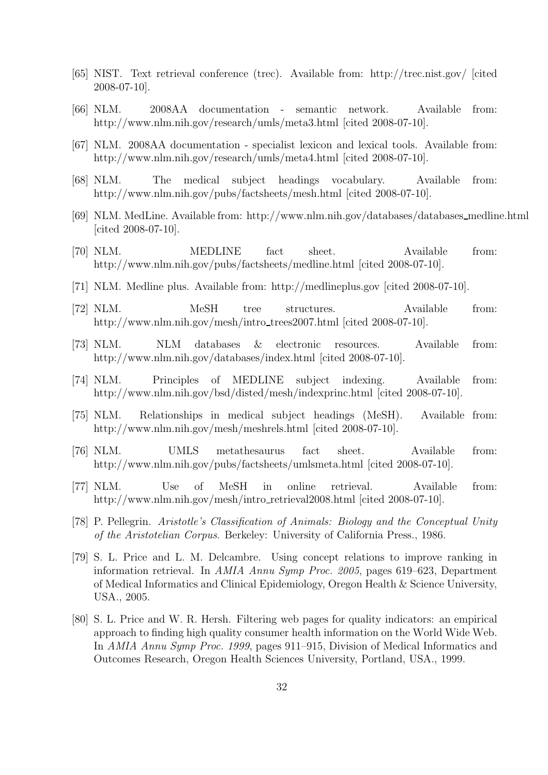- <span id="page-34-12"></span><span id="page-34-0"></span>[65] NIST. Text retrieval conference (trec). Available from: http://trec.nist.gov/ [cited 2008-07-10].
- <span id="page-34-13"></span>[66] NLM. 2008AA documentation - semantic network. Available from: http://www.nlm.nih.gov/research/umls/meta3.html [cited 2008-07-10].
- <span id="page-34-6"></span>[67] NLM. 2008AA documentation - specialist lexicon and lexical tools. Available from: http://www.nlm.nih.gov/research/umls/meta4.html [cited 2008-07-10].
- <span id="page-34-1"></span>[68] NLM. The medical subject headings vocabulary. Available from: http://www.nlm.nih.gov/pubs/factsheets/mesh.html [cited 2008-07-10].
- [69] NLM. MedLine. Available from: http://www.nlm.nih.gov/databases/databases medline.html [cited 2008-07-10].
- <span id="page-34-4"></span><span id="page-34-2"></span>[70] NLM. MEDLINE fact sheet. Available from: http://www.nlm.nih.gov/pubs/factsheets/medline.html [cited 2008-07-10].
- <span id="page-34-8"></span>[71] NLM. Medline plus. Available from: http://medlineplus.gov [cited 2008-07-10].
- <span id="page-34-3"></span>[72] NLM. MeSH tree structures. Available from: http://www.nlm.nih.gov/mesh/intro\_trees2007.html [cited 2008-07-10].
- <span id="page-34-10"></span>[73] NLM. NLM databases & electronic resources. Available from: http://www.nlm.nih.gov/databases/index.html [cited 2008-07-10].
- [74] NLM. Principles of MEDLINE subject indexing. Available from: http://www.nlm.nih.gov/bsd/disted/mesh/indexprinc.html [cited 2008-07-10].
- <span id="page-34-7"></span>[75] NLM. Relationships in medical subject headings (MeSH). Available from: http://www.nlm.nih.gov/mesh/meshrels.html [cited 2008-07-10].
- <span id="page-34-11"></span>[76] NLM. UMLS metathesaurus fact sheet. Available from: http://www.nlm.nih.gov/pubs/factsheets/umlsmeta.html [cited 2008-07-10].
- <span id="page-34-9"></span>[77] NLM. Use of MeSH in online retrieval. Available from: http://www.nlm.nih.gov/mesh/intro\_retrieval2008.html [cited 2008-07-10].
- <span id="page-34-15"></span><span id="page-34-5"></span>[78] P. Pellegrin. *Aristotle's Classification of Animals: Biology and the Conceptual Unity of the Aristotelian Corpus*. Berkeley: University of California Press., 1986.
- [79] S. L. Price and L. M. Delcambre. Using concept relations to improve ranking in information retrieval. In *AMIA Annu Symp Proc. 2005*, pages 619–623, Department of Medical Informatics and Clinical Epidemiology, Oregon Health & Science University, USA., 2005.
- <span id="page-34-14"></span>[80] S. L. Price and W. R. Hersh. Filtering web pages for quality indicators: an empirical approach to finding high quality consumer health information on the World Wide Web. In *AMIA Annu Symp Proc. 1999*, pages 911–915, Division of Medical Informatics and Outcomes Research, Oregon Health Sciences University, Portland, USA., 1999.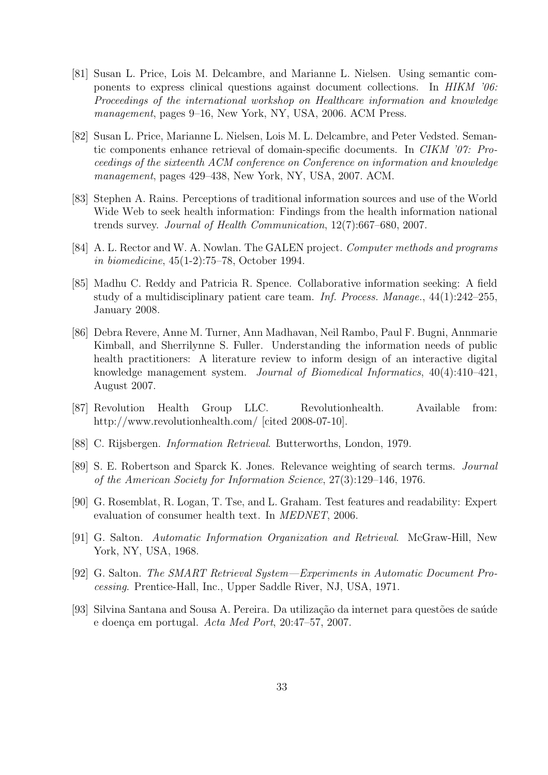- <span id="page-35-11"></span>[81] Susan L. Price, Lois M. Delcambre, and Marianne L. Nielsen. Using semantic components to express clinical questions against document collections. In *HIKM '06: Proceedings of the international workshop on Healthcare information and knowledge management*, pages 9–16, New York, NY, USA, 2006. ACM Press.
- <span id="page-35-12"></span>[82] Susan L. Price, Marianne L. Nielsen, Lois M. L. Delcambre, and Peter Vedsted. Semantic components enhance retrieval of domain-specific documents. In *CIKM '07: Proceedings of the sixteenth ACM conference on Conference on information and knowledge management*, pages 429–438, New York, NY, USA, 2007. ACM.
- <span id="page-35-6"></span>[83] Stephen A. Rains. Perceptions of traditional information sources and use of the World Wide Web to seek health information: Findings from the health information national trends survey. *Journal of Health Communication*, 12(7):667–680, 2007.
- <span id="page-35-5"></span>[84] A. L. Rector and W. A. Nowlan. The GALEN project. *Computer methods and programs in biomedicine*, 45(1-2):75–78, October 1994.
- <span id="page-35-9"></span>[85] Madhu C. Reddy and Patricia R. Spence. Collaborative information seeking: A field study of a multidisciplinary patient care team. *Inf. Process. Manage.*, 44(1):242–255, January 2008.
- <span id="page-35-8"></span>[86] Debra Revere, Anne M. Turner, Ann Madhavan, Neil Rambo, Paul F. Bugni, Annmarie Kimball, and Sherrilynne S. Fuller. Understanding the information needs of public health practitioners: A literature review to inform design of an interactive digital knowledge management system. *Journal of Biomedical Informatics*, 40(4):410–421, August 2007.
- <span id="page-35-4"></span>[87] Revolution Health Group LLC. Revolutionhealth. Available from: http://www.revolutionhealth.com/ [cited 2008-07-10].
- <span id="page-35-3"></span><span id="page-35-0"></span>[88] C. Rijsbergen. *Information Retrieval*. Butterworths, London, 1979.
- <span id="page-35-10"></span>[89] S. E. Robertson and Sparck K. Jones. Relevance weighting of search terms. *Journal of the American Society for Information Science*, 27(3):129–146, 1976.
- <span id="page-35-1"></span>[90] G. Rosemblat, R. Logan, T. Tse, and L. Graham. Test features and readability: Expert evaluation of consumer health text. In *MEDNET*, 2006.
- <span id="page-35-2"></span>[91] G. Salton. *Automatic Information Organization and Retrieval*. McGraw-Hill, New York, NY, USA, 1968.
- <span id="page-35-7"></span>[92] G. Salton. *The SMART Retrieval System—Experiments in Automatic Document Processing*. Prentice-Hall, Inc., Upper Saddle River, NJ, USA, 1971.
- [93] Silvina Santana and Sousa A. Pereira. Da utilização da internet para questões de saúde e doen¸ca em portugal. *Acta Med Port*, 20:47–57, 2007.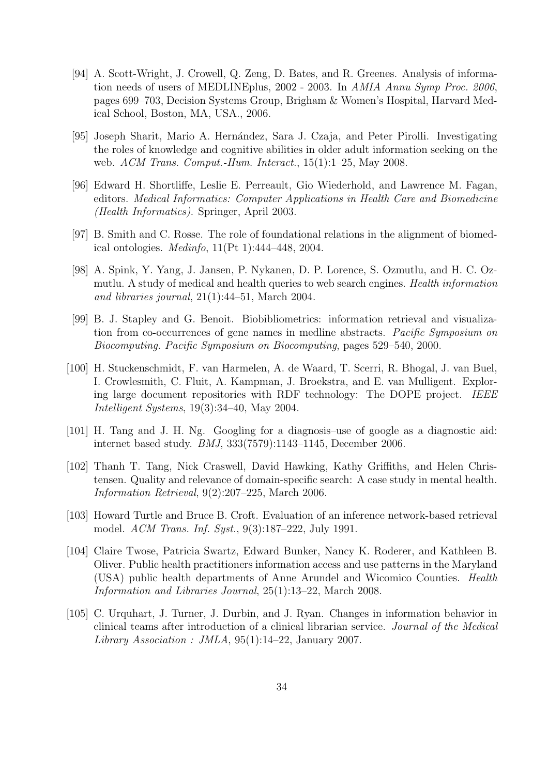- <span id="page-36-3"></span>[94] A. Scott-Wright, J. Crowell, Q. Zeng, D. Bates, and R. Greenes. Analysis of information needs of users of MEDLINEplus, 2002 - 2003. In *AMIA Annu Symp Proc. 2006*, pages 699–703, Decision Systems Group, Brigham & Women's Hospital, Harvard Medical School, Boston, MA, USA., 2006.
- <span id="page-36-4"></span>[95] Joseph Sharit, Mario A. Hernández, Sara J. Czaja, and Peter Pirolli. Investigating the roles of knowledge and cognitive abilities in older adult information seeking on the web. *ACM Trans. Comput.-Hum. Interact.*, 15(1):1–25, May 2008.
- <span id="page-36-1"></span>[96] Edward H. Shortliffe, Leslie E. Perreault, Gio Wiederhold, and Lawrence M. Fagan, editors. *Medical Informatics: Computer Applications in Health Care and Biomedicine (Health Informatics)*. Springer, April 2003.
- <span id="page-36-8"></span><span id="page-36-2"></span>[97] B. Smith and C. Rosse. The role of foundational relations in the alignment of biomedical ontologies. *Medinfo*, 11(Pt 1):444–448, 2004.
- [98] A. Spink, Y. Yang, J. Jansen, P. Nykanen, D. P. Lorence, S. Ozmutlu, and H. C. Ozmutlu. A study of medical and health queries to web search engines. *Health information and libraries journal*, 21(1):44–51, March 2004.
- <span id="page-36-11"></span>[99] B. J. Stapley and G. Benoit. Biobibliometrics: information retrieval and visualization from co-occurrences of gene names in medline abstracts. *Pacific Symposium on Biocomputing. Pacific Symposium on Biocomputing*, pages 529–540, 2000.
- <span id="page-36-10"></span>[100] H. Stuckenschmidt, F. van Harmelen, A. de Waard, T. Scerri, R. Bhogal, J. van Buel, I. Crowlesmith, C. Fluit, A. Kampman, J. Broekstra, and E. van Mulligent. Exploring large document repositories with RDF technology: The DOPE project. *IEEE Intelligent Systems*, 19(3):34–40, May 2004.
- <span id="page-36-9"></span><span id="page-36-6"></span>[101] H. Tang and J. H. Ng. Googling for a diagnosis–use of google as a diagnostic aid: internet based study. *BMJ*, 333(7579):1143–1145, December 2006.
- [102] Thanh T. Tang, Nick Craswell, David Hawking, Kathy Griffiths, and Helen Christensen. Quality and relevance of domain-specific search: A case study in mental health. *Information Retrieval*, 9(2):207–225, March 2006.
- <span id="page-36-0"></span>[103] Howard Turtle and Bruce B. Croft. Evaluation of an inference network-based retrieval model. *ACM Trans. Inf. Syst.*, 9(3):187–222, July 1991.
- <span id="page-36-5"></span>[104] Claire Twose, Patricia Swartz, Edward Bunker, Nancy K. Roderer, and Kathleen B. Oliver. Public health practitioners information access and use patterns in the Maryland (USA) public health departments of Anne Arundel and Wicomico Counties. *Health Information and Libraries Journal*, 25(1):13–22, March 2008.
- <span id="page-36-7"></span>[105] C. Urquhart, J. Turner, J. Durbin, and J. Ryan. Changes in information behavior in clinical teams after introduction of a clinical librarian service. *Journal of the Medical Library Association : JMLA*, 95(1):14–22, January 2007.